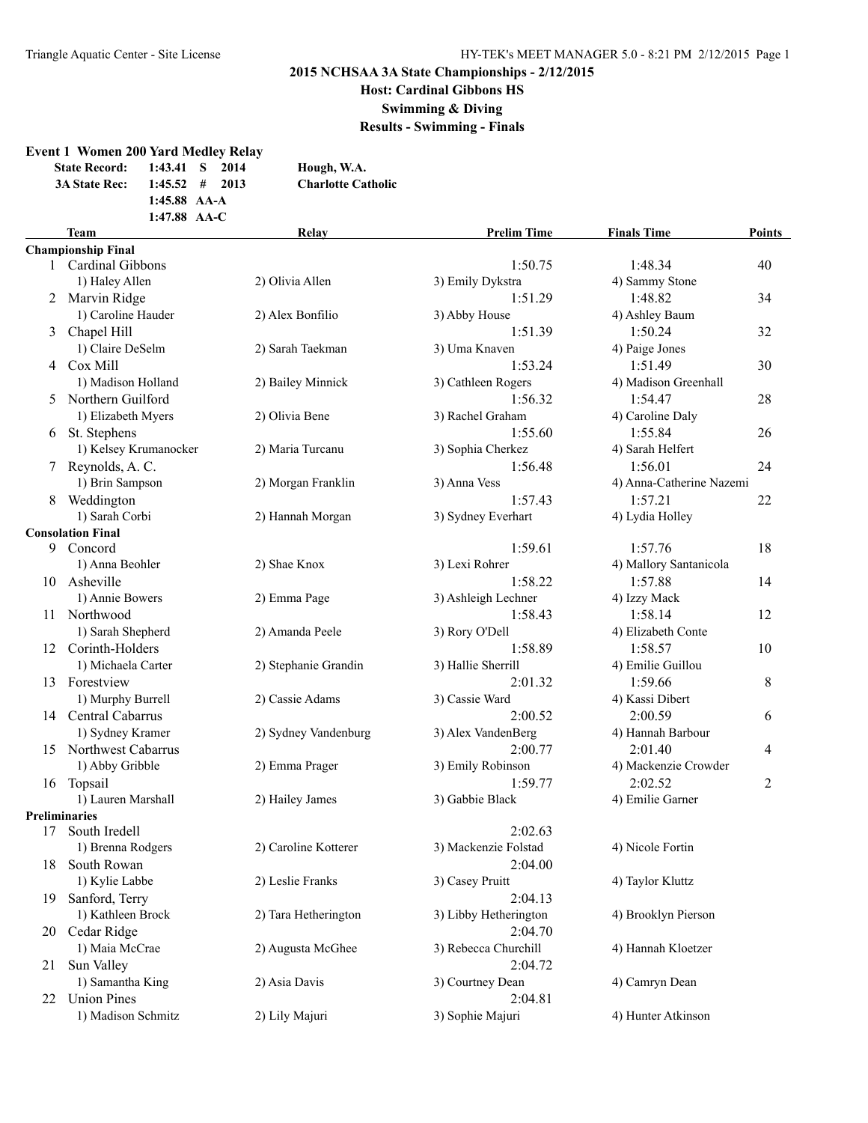**Event 1 Women 200 Yard Medley Relay**

# **2015 NCHSAA 3A State Championships - 2/12/2015**

**Host: Cardinal Gibbons HS**

**Swimming & Diving**

**Results - Swimming - Finals**

|     | <b>State Record:</b><br>1:43.41<br>3A State Rec:<br>1:45.52<br>1:45.88 AA-A<br>1:47.88 AA-C | 2014<br>S<br>#<br>2013 | Hough, W.A.<br><b>Charlotte Catholic</b> |                               |                           |               |
|-----|---------------------------------------------------------------------------------------------|------------------------|------------------------------------------|-------------------------------|---------------------------|---------------|
|     | <b>Team</b>                                                                                 |                        | Relay                                    | <b>Prelim Time</b>            | <b>Finals Time</b>        | <b>Points</b> |
|     | <b>Championship Final</b>                                                                   |                        |                                          |                               |                           |               |
|     | 1 Cardinal Gibbons                                                                          |                        |                                          | 1:50.75                       | 1:48.34                   | 40            |
|     | 1) Haley Allen                                                                              |                        | 2) Olivia Allen                          | 3) Emily Dykstra              | 4) Sammy Stone            |               |
| 2   | Marvin Ridge                                                                                |                        |                                          | 1:51.29                       | 1:48.82                   | 34            |
|     | 1) Caroline Hauder                                                                          |                        | 2) Alex Bonfilio                         | 3) Abby House<br>1:51.39      | 4) Ashley Baum<br>1:50.24 |               |
| 3   | Chapel Hill                                                                                 |                        |                                          |                               |                           | 32            |
|     | 1) Claire DeSelm<br>Cox Mill                                                                |                        | 2) Sarah Taekman                         | 3) Uma Knaven<br>1:53.24      | 4) Paige Jones<br>1:51.49 |               |
| 4   | 1) Madison Holland                                                                          |                        |                                          |                               | 4) Madison Greenhall      | 30            |
| 5.  | Northern Guilford                                                                           |                        | 2) Bailey Minnick                        | 3) Cathleen Rogers<br>1:56.32 | 1:54.47                   | 28            |
|     | 1) Elizabeth Myers                                                                          |                        | 2) Olivia Bene                           | 3) Rachel Graham              | 4) Caroline Daly          |               |
|     |                                                                                             |                        |                                          | 1:55.60                       | 1:55.84                   | 26            |
|     | 6 St. Stephens<br>1) Kelsey Krumanocker                                                     |                        | 2) Maria Turcanu                         | 3) Sophia Cherkez             | 4) Sarah Helfert          |               |
| 7   | Reynolds, A. C.                                                                             |                        |                                          | 1:56.48                       | 1:56.01                   | 24            |
|     | 1) Brin Sampson                                                                             |                        | 2) Morgan Franklin                       | 3) Anna Vess                  | 4) Anna-Catherine Nazemi  |               |
| 8   | Weddington                                                                                  |                        |                                          | 1:57.43                       | 1:57.21                   | 22            |
|     | 1) Sarah Corbi                                                                              |                        | 2) Hannah Morgan                         | 3) Sydney Everhart            | 4) Lydia Holley           |               |
|     | <b>Consolation Final</b>                                                                    |                        |                                          |                               |                           |               |
| 9   | Concord                                                                                     |                        |                                          | 1:59.61                       | 1:57.76                   | 18            |
|     | 1) Anna Beohler                                                                             |                        | 2) Shae Knox                             | 3) Lexi Rohrer                | 4) Mallory Santanicola    |               |
| 10  | Asheville                                                                                   |                        |                                          | 1:58.22                       | 1:57.88                   | 14            |
|     | 1) Annie Bowers                                                                             |                        | 2) Emma Page                             | 3) Ashleigh Lechner           | 4) Izzy Mack              |               |
| 11  | Northwood                                                                                   |                        |                                          | 1:58.43                       | 1:58.14                   | 12            |
|     | 1) Sarah Shepherd                                                                           |                        | 2) Amanda Peele                          | 3) Rory O'Dell                | 4) Elizabeth Conte        |               |
| 12  | Corinth-Holders                                                                             |                        |                                          | 1:58.89                       | 1:58.57                   | 10            |
|     | 1) Michaela Carter                                                                          |                        | 2) Stephanie Grandin                     | 3) Hallie Sherrill            | 4) Emilie Guillou         |               |
| 13  | Forestview                                                                                  |                        |                                          | 2:01.32                       | 1:59.66                   | 8             |
|     | 1) Murphy Burrell                                                                           |                        | 2) Cassie Adams                          | 3) Cassie Ward                | 4) Kassi Dibert           |               |
|     | 14 Central Cabarrus                                                                         |                        |                                          | 2:00.52                       | 2:00.59                   | 6             |
|     | 1) Sydney Kramer                                                                            |                        | 2) Sydney Vandenburg                     | 3) Alex VandenBerg            | 4) Hannah Barbour         |               |
| 15  | <b>Northwest Cabarrus</b>                                                                   |                        |                                          | 2:00.77                       | 2:01.40                   | 4             |
|     | 1) Abby Gribble                                                                             |                        | 2) Emma Prager                           | 3) Emily Robinson             | 4) Mackenzie Crowder      |               |
| 16  | Topsail                                                                                     |                        |                                          | 1:59.77                       | 2:02.52                   | 2             |
|     | 1) Lauren Marshall                                                                          |                        | 2) Hailey James                          | 3) Gabbie Black               | 4) Emilie Garner          |               |
|     | Preliminaries                                                                               |                        |                                          |                               |                           |               |
|     | 17 South Iredell                                                                            |                        |                                          | 2:02.63                       |                           |               |
|     | 1) Brenna Rodgers                                                                           |                        | 2) Caroline Kotterer                     | 3) Mackenzie Folstad          | 4) Nicole Fortin          |               |
|     | 18 South Rowan                                                                              |                        |                                          | 2:04.00                       |                           |               |
|     | 1) Kylie Labbe                                                                              |                        | 2) Leslie Franks                         | 3) Casey Pruitt               | 4) Taylor Kluttz          |               |
| 19  | Sanford, Terry                                                                              |                        |                                          | 2:04.13                       |                           |               |
|     | 1) Kathleen Brock                                                                           |                        | 2) Tara Hetherington                     | 3) Libby Hetherington         | 4) Brooklyn Pierson       |               |
| 20  | Cedar Ridge                                                                                 |                        |                                          | 2:04.70                       |                           |               |
|     | 1) Maia McCrae                                                                              |                        | 2) Augusta McGhee                        | 3) Rebecca Churchill          | 4) Hannah Kloetzer        |               |
| 21. | Sun Valley                                                                                  |                        |                                          | 2:04.72                       |                           |               |
|     | 1) Samantha King                                                                            |                        | 2) Asia Davis                            | 3) Courtney Dean              | 4) Camryn Dean            |               |
| 22  | <b>Union Pines</b>                                                                          |                        |                                          | 2:04.81                       |                           |               |
|     | 1) Madison Schmitz                                                                          |                        | 2) Lily Majuri                           | 3) Sophie Majuri              | 4) Hunter Atkinson        |               |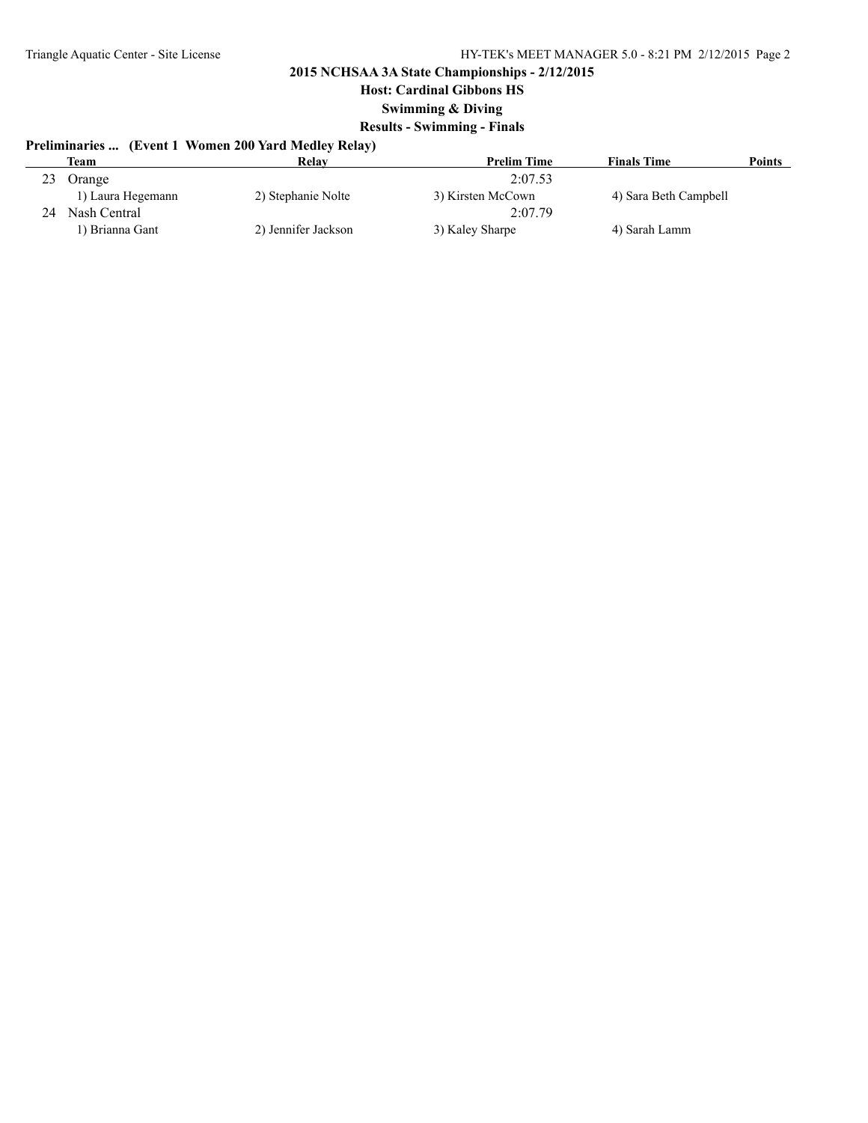**Host: Cardinal Gibbons HS**

**Swimming & Diving**

### **Results - Swimming - Finals**

# **Preliminaries ... (Event 1 Women 200 Yard Medley Relay)**

|    | Team              | Relav               | <b>Prelim Time</b> | <b>Finals Time</b>    | <b>Points</b> |
|----|-------------------|---------------------|--------------------|-----------------------|---------------|
| 23 | <b>Orange</b>     |                     | 2:07.53            |                       |               |
|    | 1) Laura Hegemann | 2) Stephanie Nolte  | 3) Kirsten McCown  | 4) Sara Beth Campbell |               |
|    | Nash Central      |                     | 2:07.79            |                       |               |
|    | 1) Brianna Gant   | 2) Jennifer Jackson | 3) Kaley Sharpe    | 4) Sarah Lamm         |               |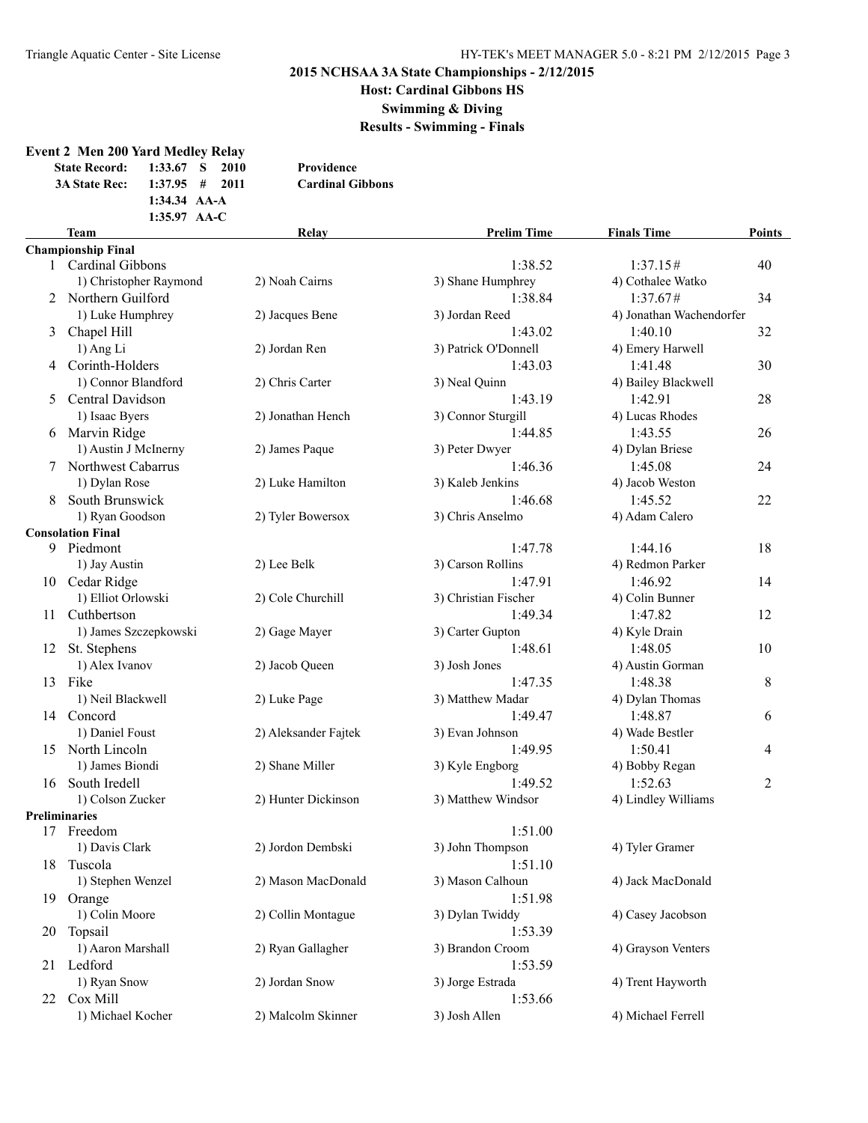**Host: Cardinal Gibbons HS**

**Swimming & Diving**

**Results - Swimming - Finals**

#### **Event 2 Men 200 Yard Medley Relay**

| <b>State Record:</b> | $1:33.67$ S      | -2010 | Providence              |
|----------------------|------------------|-------|-------------------------|
| <b>3A State Rec:</b> | $1:37.95$ # 2011 |       | <b>Cardinal Gibbons</b> |
|                      | 1:34.34 $AA-A$   |       |                         |
|                      | 1:35.97 $AA-C$   |       |                         |

### **Team Relay Prelim Time Finals Time Points Championship Final** 1 Cardinal Gibbons 1:38.52 1:37.15# 40 1) Christopher Raymond 2) Noah Cairns 3) Shane Humphrey 4) Cothalee Watko 2 Northern Guilford 1:38.84 1:37.67# 34 1) Luke Humphrey 2) Jacques Bene 3) Jordan Reed 4) Jonathan Wachendorfer 3 Chapel Hill 1:43.02 1:40.10 32 1) Ang Li 2) Jordan Ren 3) Patrick O'Donnell 4) Emery Harwell 4 Corinth-Holders 1:43.03 1:41.48 30 1) Connor Blandford 2) Chris Carter 3) Neal Quinn 4) Bailey Blackwell 5 Central Davidson 1:43.19 1:42.91 28 1) Isaac Byers 2) Jonathan Hench 3) Connor Sturgill 4) Lucas Rhodes 6 Marvin Ridge 1:44.85 1:43.55 26 1) Austin J McInerny 2) James Paque 3) Peter Dwyer 4) Dylan Briese 7 Northwest Cabarrus 1:46.36 1:45.08 24 1) Dylan Rose 2) Luke Hamilton 3) Kaleb Jenkins 4) Jacob Weston 8 South Brunswick 1:46.68 1:45.52 22 1) Ryan Goodson 2) Tyler Bowersox 3) Chris Anselmo 4) Adam Calero **Consolation Final** 9 Piedmont 1:47.78 1:44.16 18 1) Jay Austin 2) Lee Belk 3) Carson Rollins 4) Redmon Parker 10 Cedar Ridge 1:47.91 1:46.92 14 1) Elliot Orlowski 2) Cole Churchill 3) Christian Fischer 4) Colin Bunner 11 Cuthbertson 1:49.34 1:47.82 12 1) James Szczepkowski 2) Gage Mayer 3) Carter Gupton 4) Kyle Drain 12 St. Stephens 1:48.61 1:48.05 10 1) Alex Ivanov 2) Jacob Queen 3) Josh Jones 4) Austin Gorman 13 Fike 1:47.35 1:48.38 8 1) Neil Blackwell 2) Luke Page 3) Matthew Madar 4) Dylan Thomas 14 Concord 1:49.47 1:48.87 6 1) Daniel Foust 2) Aleksander Fajtek 3) Evan Johnson 4) Wade Bestler 15 North Lincoln 1:49.95 1:50.41 4 1) James Biondi 2) Shane Miller 3) Kyle Engborg 4) Bobby Regan 16 South Iredell 2:49.52 1:52.63 2 1) Colson Zucker 2) Hunter Dickinson 3) Matthew Windsor 4) Lindley Williams **Preliminaries** 17 Freedom 1:51.00 1) Davis Clark 2) Jordon Dembski 3) John Thompson 4) Tyler Gramer 18 Tuscola 1:51.10 1) Stephen Wenzel 2) Mason MacDonald 3) Mason Calhoun 4) Jack MacDonald 19 Orange 1:51.98 1) Colin Moore 2) Collin Montague 3) Dylan Twiddy 4) Casey Jacobson 20 Topsail 1:53.39 1) Aaron Marshall 2) Ryan Gallagher 3) Brandon Croom 4) Grayson Venters 21 Ledford 1:53.59 1) Ryan Snow 2) Jordan Snow 3) Jorge Estrada 4) Trent Hayworth 22 Cox Mill 1:53.66 1) Michael Kocher 2) Malcolm Skinner 3) Josh Allen 4) Michael Ferrell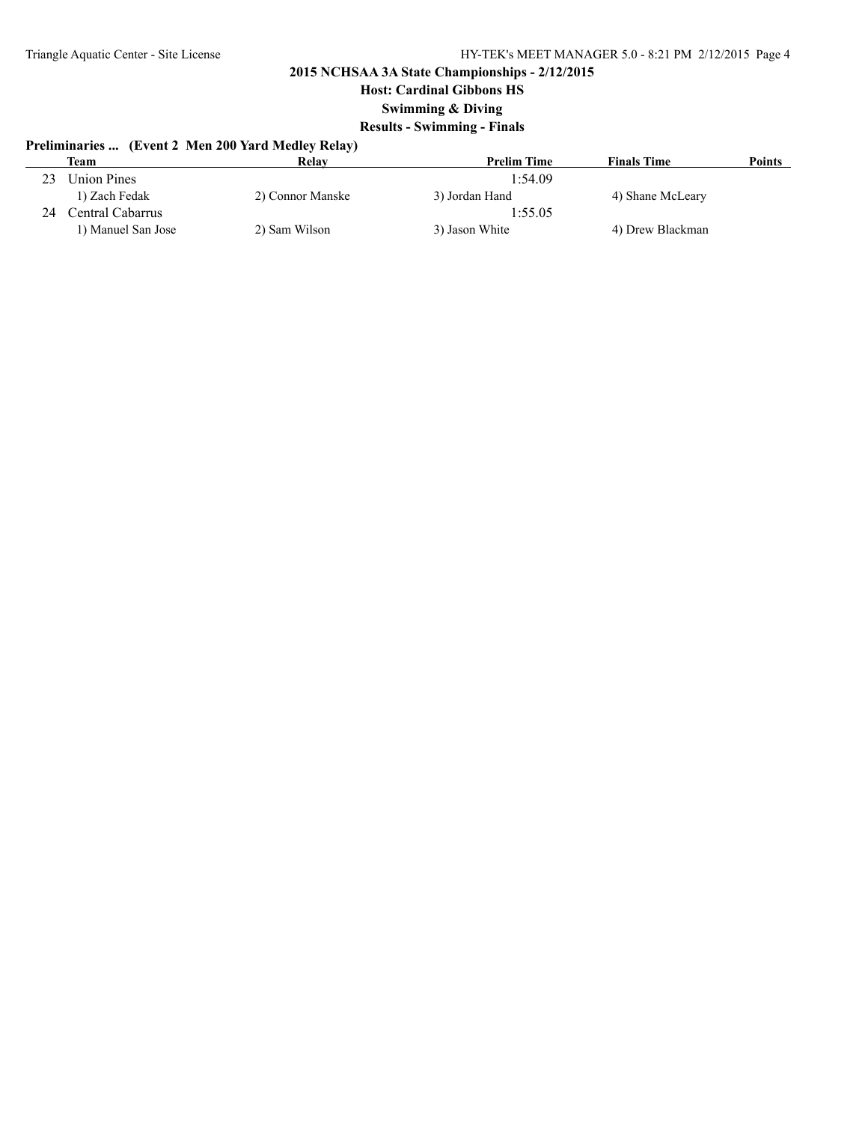**Host: Cardinal Gibbons HS**

**Swimming & Diving**

### **Results - Swimming - Finals**

# **Preliminaries ... (Event 2 Men 200 Yard Medley Relay)**

|    | <b>Team</b>        | Relay            | <b>Prelim Time</b> | <b>Finals Time</b> | <b>Points</b> |
|----|--------------------|------------------|--------------------|--------------------|---------------|
| 23 | <b>Union Pines</b> |                  | 1:54.09            |                    |               |
|    | 1) Zach Fedak      | 2) Connor Manske | 3) Jordan Hand     | 4) Shane McLeary   |               |
|    | Central Cabarrus - |                  | 1:55.05            |                    |               |
|    | 1) Manuel San Jose | 2) Sam Wilson    | 3) Jason White     | 4) Drew Blackman   |               |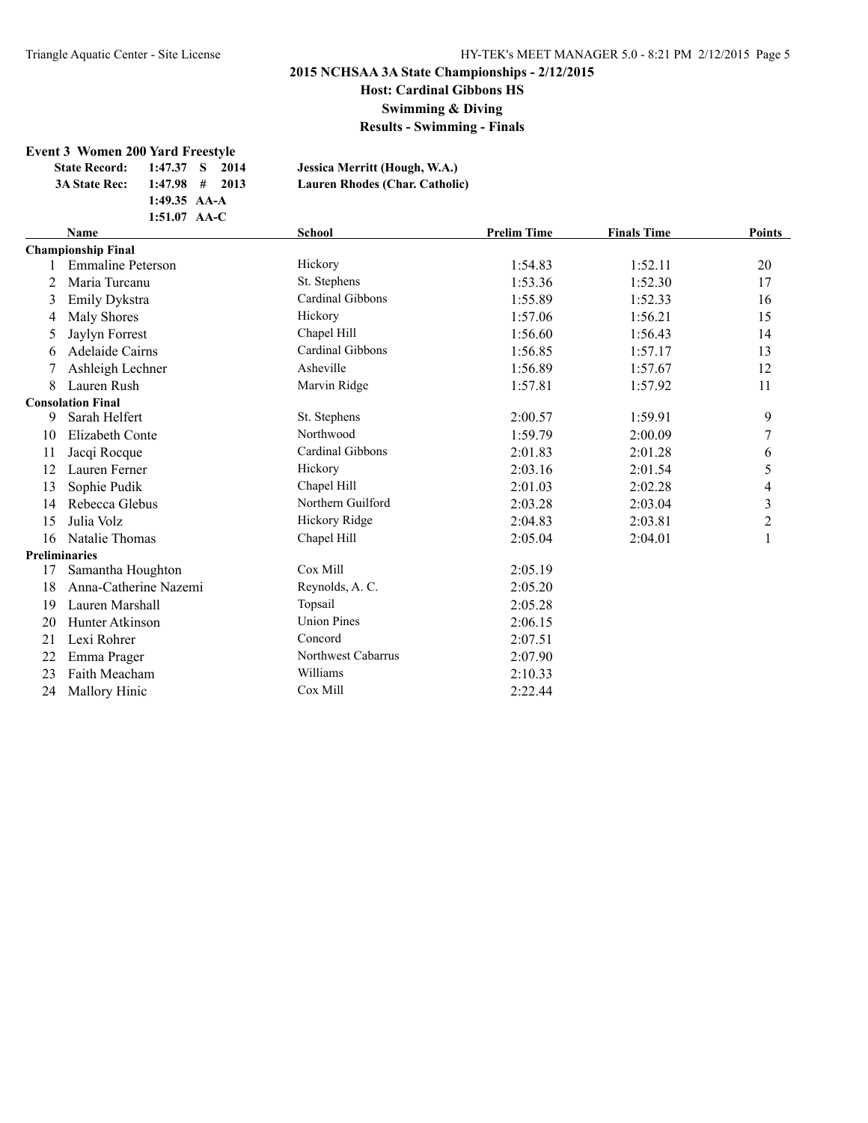**Host: Cardinal Gibbons HS**

**Swimming & Diving**

**Results - Swimming - Finals**

#### **Event 3 Women 200 Yard Freestyle**

**1:49.35 AA-A**

**State Record: 1:47.37 S 2014 Jessica Merritt (Hough, W.A.)**

**3A State Rec: 1:47.98 # 2013 Lauren Rhodes (Char. Catholic)**

|    | 1:51.07 AA-C              |                    |                    |                    |                          |
|----|---------------------------|--------------------|--------------------|--------------------|--------------------------|
|    | <b>Name</b>               | <b>School</b>      | <b>Prelim Time</b> | <b>Finals Time</b> | Points                   |
|    | <b>Championship Final</b> |                    |                    |                    |                          |
|    | <b>Emmaline Peterson</b>  | Hickory            | 1:54.83            | 1:52.11            | 20                       |
| 2  | Maria Turcanu             | St. Stephens       | 1:53.36            | 1:52.30            | 17                       |
| 3  | Emily Dykstra             | Cardinal Gibbons   | 1:55.89            | 1:52.33            | 16                       |
| 4  | <b>Maly Shores</b>        | Hickory            | 1:57.06            | 1:56.21            | 15                       |
| 5  | Jaylyn Forrest            | Chapel Hill        | 1:56.60            | 1:56.43            | 14                       |
| 6  | <b>Adelaide Cairns</b>    | Cardinal Gibbons   | 1:56.85            | 1:57.17            | 13                       |
|    | Ashleigh Lechner          | Asheville          | 1:56.89            | 1:57.67            | 12                       |
| 8  | Lauren Rush               | Marvin Ridge       | 1:57.81            | 1:57.92            | 11                       |
|    | <b>Consolation Final</b>  |                    |                    |                    |                          |
| 9  | Sarah Helfert             | St. Stephens       | 2:00.57            | 1:59.91            | 9                        |
| 10 | Elizabeth Conte           | Northwood          | 1:59.79            | 2:00.09            | $\boldsymbol{7}$         |
| 11 | Jacqi Rocque              | Cardinal Gibbons   | 2:01.83            | 2:01.28            | 6                        |
| 12 | Lauren Ferner             | Hickory            | 2:03.16            | 2:01.54            | 5                        |
| 13 | Sophie Pudik              | Chapel Hill        | 2:01.03            | 2:02.28            | $\overline{\mathcal{A}}$ |
| 14 | Rebecca Glebus            | Northern Guilford  | 2:03.28            | 2:03.04            | $\overline{\mathbf{3}}$  |
| 15 | Julia Volz                | Hickory Ridge      | 2:04.83            | 2:03.81            | $\overline{2}$           |
| 16 | Natalie Thomas            | Chapel Hill        | 2:05.04            | 2:04.01            | $\mathbf{1}$             |
|    | <b>Preliminaries</b>      |                    |                    |                    |                          |
| 17 | Samantha Houghton         | Cox Mill           | 2:05.19            |                    |                          |
| 18 | Anna-Catherine Nazemi     | Reynolds, A. C.    | 2:05.20            |                    |                          |
| 19 | Lauren Marshall           | Topsail            | 2:05.28            |                    |                          |
| 20 | Hunter Atkinson           | <b>Union Pines</b> | 2:06.15            |                    |                          |
| 21 | Lexi Rohrer               | Concord            | 2:07.51            |                    |                          |
| 22 | Emma Prager               | Northwest Cabarrus | 2:07.90            |                    |                          |
| 23 | Faith Meacham             | Williams           | 2:10.33            |                    |                          |
| 24 | <b>Mallory Hinic</b>      | Cox Mill           | 2:22.44            |                    |                          |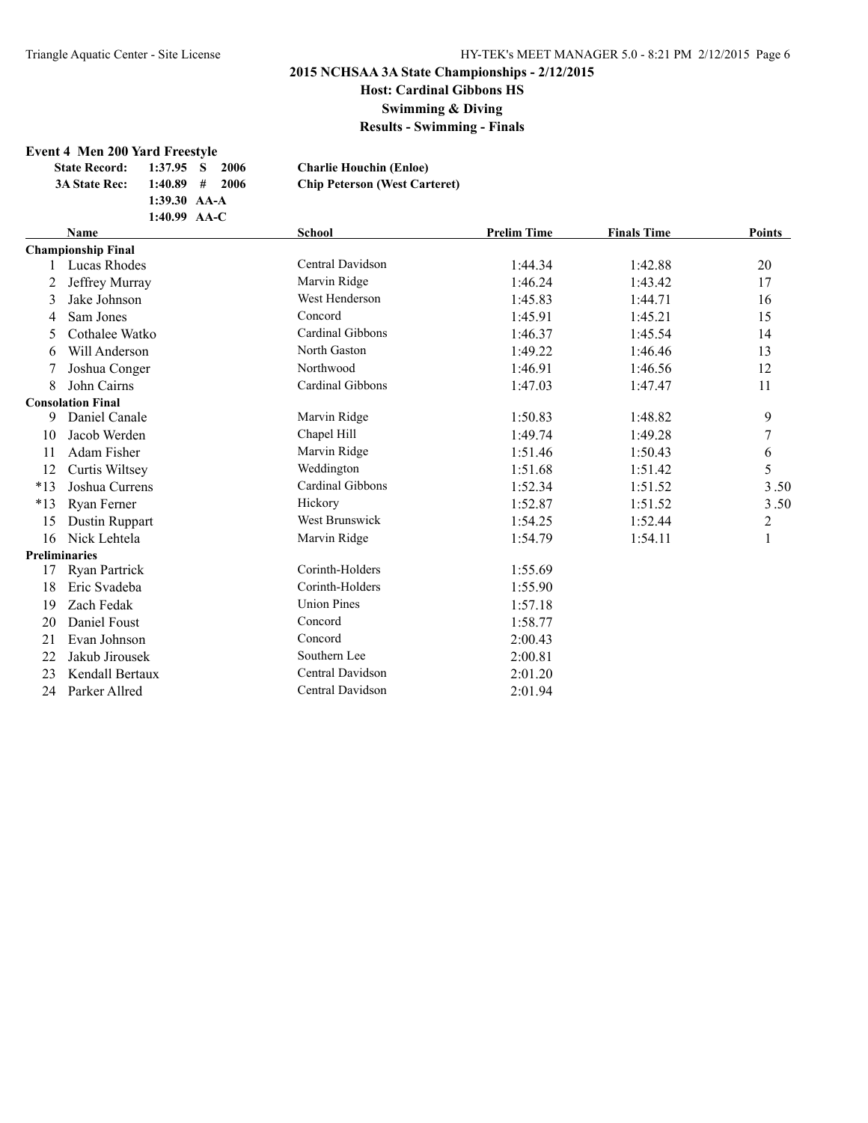**Swimming & Diving**

**Results - Swimming - Finals**

### **Event 4 Men 200 Yard Freestyle**

| <b>State Record:</b> | 1:37.95 S 2006   | <b>Charlie Houchin (Enloe)</b>       |
|----------------------|------------------|--------------------------------------|
| <b>3A State Rec:</b> | $1:40.89$ # 2006 | <b>Chip Peterson (West Carteret)</b> |
|                      | $1:39.30$ AA-A   |                                      |
|                      | 1:40.99 $AA-C$   |                                      |

|       | <b>Name</b>               | <b>School</b>      | <b>Prelim Time</b> | <b>Finals Time</b> | Points |  |
|-------|---------------------------|--------------------|--------------------|--------------------|--------|--|
|       | <b>Championship Final</b> |                    |                    |                    |        |  |
|       | Lucas Rhodes              | Central Davidson   | 1:44.34            | 1:42.88            | 20     |  |
| 2     | Jeffrey Murray            | Marvin Ridge       | 1:46.24            | 1:43.42            | 17     |  |
| 3     | Jake Johnson              | West Henderson     | 1:45.83            | 1:44.71            | 16     |  |
| 4     | Sam Jones                 | Concord            | 1:45.91            | 1:45.21            | 15     |  |
| 5     | Cothalee Watko            | Cardinal Gibbons   | 1:46.37            | 1:45.54            | 14     |  |
| 6     | Will Anderson             | North Gaston       | 1:49.22            | 1:46.46            | 13     |  |
|       | Joshua Conger             | Northwood          | 1:46.91            | 1:46.56            | 12     |  |
| 8     | John Cairns               | Cardinal Gibbons   | 1:47.03            | 1:47.47            | 11     |  |
|       | <b>Consolation Final</b>  |                    |                    |                    |        |  |
| 9     | Daniel Canale             | Marvin Ridge       | 1:50.83            | 1:48.82            | 9      |  |
| 10    | Jacob Werden              | Chapel Hill        | 1:49.74            | 1:49.28            | 7      |  |
| 11    | Adam Fisher               | Marvin Ridge       | 1:51.46            | 1:50.43            | 6      |  |
| 12    | Curtis Wiltsey            | Weddington         | 1:51.68            | 1:51.42            | 5      |  |
| $*13$ | Joshua Currens            | Cardinal Gibbons   | 1:52.34            | 1:51.52            | 3.50   |  |
| $*13$ | Ryan Ferner               | Hickory            | 1:52.87            | 1:51.52            | 3.50   |  |
| 15    | Dustin Ruppart            | West Brunswick     | 1:54.25            | 1:52.44            | 2      |  |
| 16    | Nick Lehtela              | Marvin Ridge       | 1:54.79            | 1:54.11            | 1      |  |
|       | <b>Preliminaries</b>      |                    |                    |                    |        |  |
| 17    | Ryan Partrick             | Corinth-Holders    | 1:55.69            |                    |        |  |
| 18    | Eric Svadeba              | Corinth-Holders    | 1:55.90            |                    |        |  |
| 19    | Zach Fedak                | <b>Union Pines</b> | 1:57.18            |                    |        |  |
| 20    | Daniel Foust              | Concord            | 1:58.77            |                    |        |  |
| 21    | Evan Johnson              | Concord            | 2:00.43            |                    |        |  |
| 22    | Jakub Jirousek            | Southern Lee       | 2:00.81            |                    |        |  |
| 23    | Kendall Bertaux           | Central Davidson   | 2:01.20            |                    |        |  |
| 24    | Parker Allred             | Central Davidson   | 2:01.94            |                    |        |  |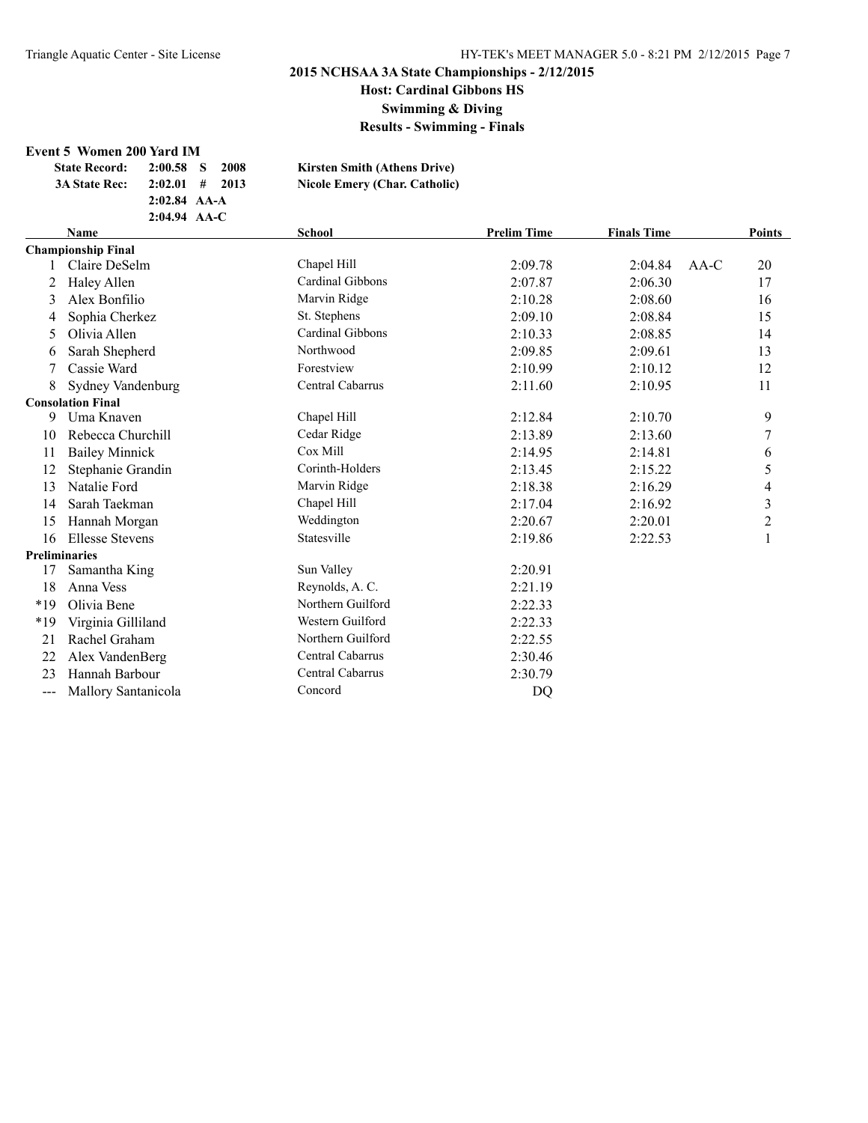**Host: Cardinal Gibbons HS Swimming & Diving**

**Results - Swimming - Finals**

#### **Event 5 Women 200 Yard IM**

| <b>State Record:</b> | $2:00.58$ S      | 2008 | <b>Kirsten Smith (Athens Drive)</b>  |
|----------------------|------------------|------|--------------------------------------|
| <b>3A State Rec:</b> | $2:02.01$ # 2013 |      | <b>Nicole Emery (Char. Catholic)</b> |
|                      | $2:02.84$ AA-A   |      |                                      |
|                      | $2:04.94$ AA-C   |      |                                      |
|                      |                  |      |                                      |

| <b>Name</b><br>School |                           | <b>Prelim Time</b> | <b>Finals Time</b> |         | Points |                         |
|-----------------------|---------------------------|--------------------|--------------------|---------|--------|-------------------------|
|                       | <b>Championship Final</b> |                    |                    |         |        |                         |
|                       | Claire DeSelm             | Chapel Hill        | 2:09.78            | 2:04.84 | $AA-C$ | 20                      |
|                       | Haley Allen               | Cardinal Gibbons   | 2:07.87            | 2:06.30 |        | 17                      |
| 3                     | Alex Bonfilio             | Marvin Ridge       | 2:10.28            | 2:08.60 |        | 16                      |
| 4                     | Sophia Cherkez            | St. Stephens       | 2:09.10            | 2:08.84 |        | 15                      |
| 5                     | Olivia Allen              | Cardinal Gibbons   | 2:10.33            | 2:08.85 |        | 14                      |
| 6                     | Sarah Shepherd            | Northwood          | 2:09.85            | 2:09.61 |        | 13                      |
| 7                     | Cassie Ward               | Forestview         | 2:10.99            | 2:10.12 |        | 12                      |
| 8                     | Sydney Vandenburg         | Central Cabarrus   | 2:11.60            | 2:10.95 |        | 11                      |
|                       | <b>Consolation Final</b>  |                    |                    |         |        |                         |
| 9                     | Uma Knaven                | Chapel Hill        | 2:12.84            | 2:10.70 |        | 9                       |
| 10                    | Rebecca Churchill         | Cedar Ridge        | 2:13.89            | 2:13.60 |        | 7                       |
| 11                    | <b>Bailey Minnick</b>     | Cox Mill           | 2:14.95            | 2:14.81 |        | 6                       |
| 12                    | Stephanie Grandin         | Corinth-Holders    | 2:13.45            | 2:15.22 |        | 5                       |
| 13                    | Natalie Ford              | Marvin Ridge       | 2:18.38            | 2:16.29 |        | 4                       |
| 14                    | Sarah Taekman             | Chapel Hill        | 2:17.04            | 2:16.92 |        | 3                       |
| 15                    | Hannah Morgan             | Weddington         | 2:20.67            | 2:20.01 |        | $\overline{\mathbf{c}}$ |
| 16                    | <b>Ellesse Stevens</b>    | Statesville        | 2:19.86            | 2:22.53 |        | 1                       |
|                       | <b>Preliminaries</b>      |                    |                    |         |        |                         |
| 17                    | Samantha King             | Sun Valley         | 2:20.91            |         |        |                         |
| 18                    | Anna Vess                 | Reynolds, A. C.    | 2:21.19            |         |        |                         |
| $*19$                 | Olivia Bene               | Northern Guilford  | 2:22.33            |         |        |                         |
| *19                   | Virginia Gilliland        | Western Guilford   | 2:22.33            |         |        |                         |
| 21                    | Rachel Graham             | Northern Guilford  | 2:22.55            |         |        |                         |
| 22                    | Alex VandenBerg           | Central Cabarrus   | 2:30.46            |         |        |                         |
| 23                    | Hannah Barbour            | Central Cabarrus   | 2:30.79            |         |        |                         |
| ---                   | Mallory Santanicola       | Concord            | <b>DQ</b>          |         |        |                         |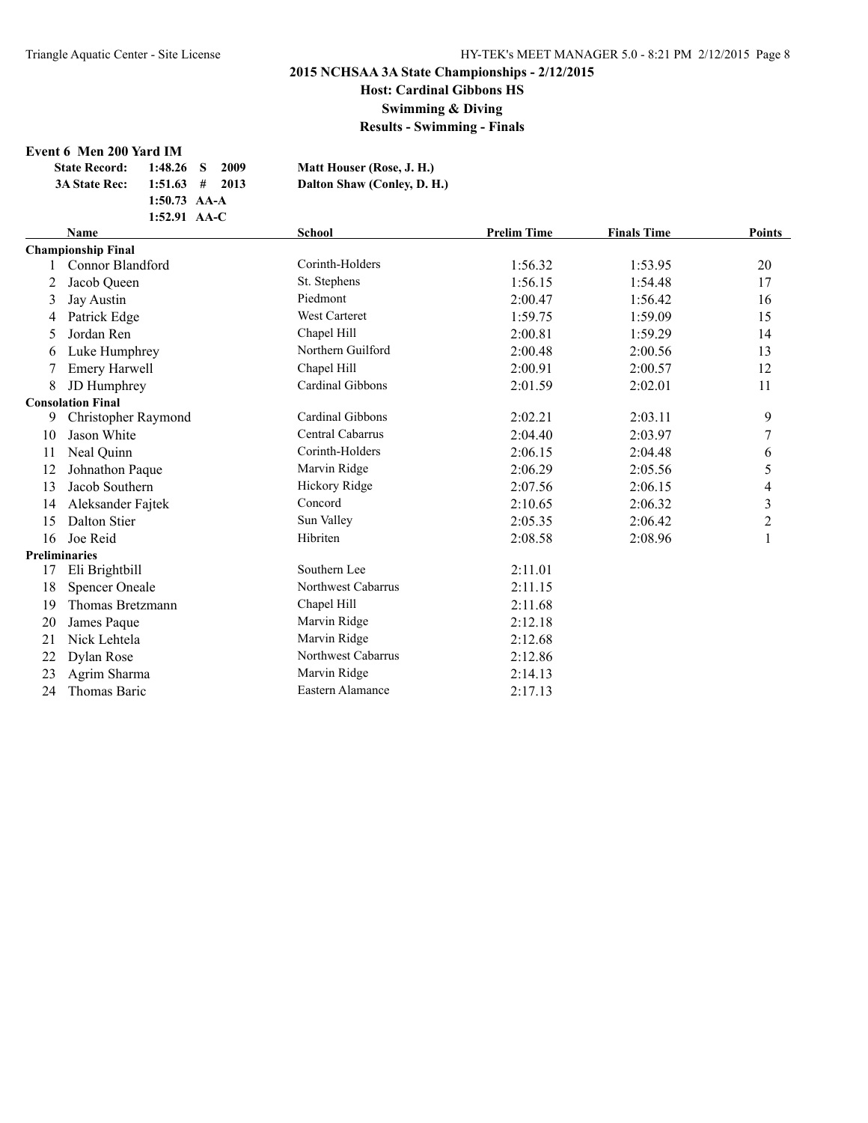**Host: Cardinal Gibbons HS**

**Swimming & Diving**

**Results - Swimming - Finals**

#### **Event 6 Men 200 Yard IM**

| <b>State Record:</b> |                | $1:48.26$ S 2009 | Matt Houser (Rose, J. H.)   |
|----------------------|----------------|------------------|-----------------------------|
| <b>3A State Rec:</b> |                | $1:51.63$ # 2013 | Dalton Shaw (Conley, D. H.) |
|                      | $1:50.73$ AA-A |                  |                             |
|                      | 1:52.91 $AA-C$ |                  |                             |

|    | <b>School</b><br><b>Name</b> |                      | <b>Prelim Time</b> | <b>Finals Time</b> | Points                   |
|----|------------------------------|----------------------|--------------------|--------------------|--------------------------|
|    | <b>Championship Final</b>    |                      |                    |                    |                          |
|    | Connor Blandford             | Corinth-Holders      | 1:56.32            | 1:53.95            | 20                       |
| 2  | Jacob Queen                  | St. Stephens         | 1:56.15            | 1:54.48            | 17                       |
| 3  | Jay Austin                   | Piedmont             | 2:00.47            | 1:56.42            | 16                       |
| 4  | Patrick Edge                 | <b>West Carteret</b> | 1:59.75            | 1:59.09            | 15                       |
| 5. | Jordan Ren                   | Chapel Hill          | 2:00.81            | 1:59.29            | 14                       |
| 6  | Luke Humphrey                | Northern Guilford    | 2:00.48            | 2:00.56            | 13                       |
| 7  | <b>Emery Harwell</b>         | Chapel Hill          | 2:00.91            | 2:00.57            | 12                       |
| 8  | JD Humphrey                  | Cardinal Gibbons     | 2:01.59            | 2:02.01            | 11                       |
|    | <b>Consolation Final</b>     |                      |                    |                    |                          |
| 9  | Christopher Raymond          | Cardinal Gibbons     | 2:02.21            | 2:03.11            | 9                        |
| 10 | Jason White                  | Central Cabarrus     | 2:04.40            | 2:03.97            | 7                        |
| 11 | Neal Quinn                   | Corinth-Holders      | 2:06.15            | 2:04.48            | 6                        |
| 12 | Johnathon Paque              | Marvin Ridge         | 2:06.29            | 2:05.56            | 5                        |
| 13 | Jacob Southern               | Hickory Ridge        | 2:07.56            | 2:06.15            | $\overline{\mathcal{A}}$ |
| 14 | Aleksander Fajtek            | Concord              | 2:10.65            | 2:06.32            | $\overline{\mathbf{3}}$  |
| 15 | Dalton Stier                 | Sun Valley           | 2:05.35            | 2:06.42            | $\overline{c}$           |
| 16 | Joe Reid                     | Hibriten             | 2:08.58            | 2:08.96            | $\mathbf{1}$             |
|    | <b>Preliminaries</b>         |                      |                    |                    |                          |
| 17 | Eli Brightbill               | Southern Lee         | 2:11.01            |                    |                          |
| 18 | <b>Spencer Oneale</b>        | Northwest Cabarrus   | 2:11.15            |                    |                          |
| 19 | Thomas Bretzmann             | Chapel Hill          | 2:11.68            |                    |                          |
| 20 | James Paque                  | Marvin Ridge         | 2:12.18            |                    |                          |
| 21 | Nick Lehtela                 | Marvin Ridge         | 2:12.68            |                    |                          |
| 22 | Dylan Rose                   | Northwest Cabarrus   | 2:12.86            |                    |                          |
| 23 | Agrim Sharma                 | Marvin Ridge         | 2:14.13            |                    |                          |
| 24 | Thomas Baric                 | Eastern Alamance     | 2:17.13            |                    |                          |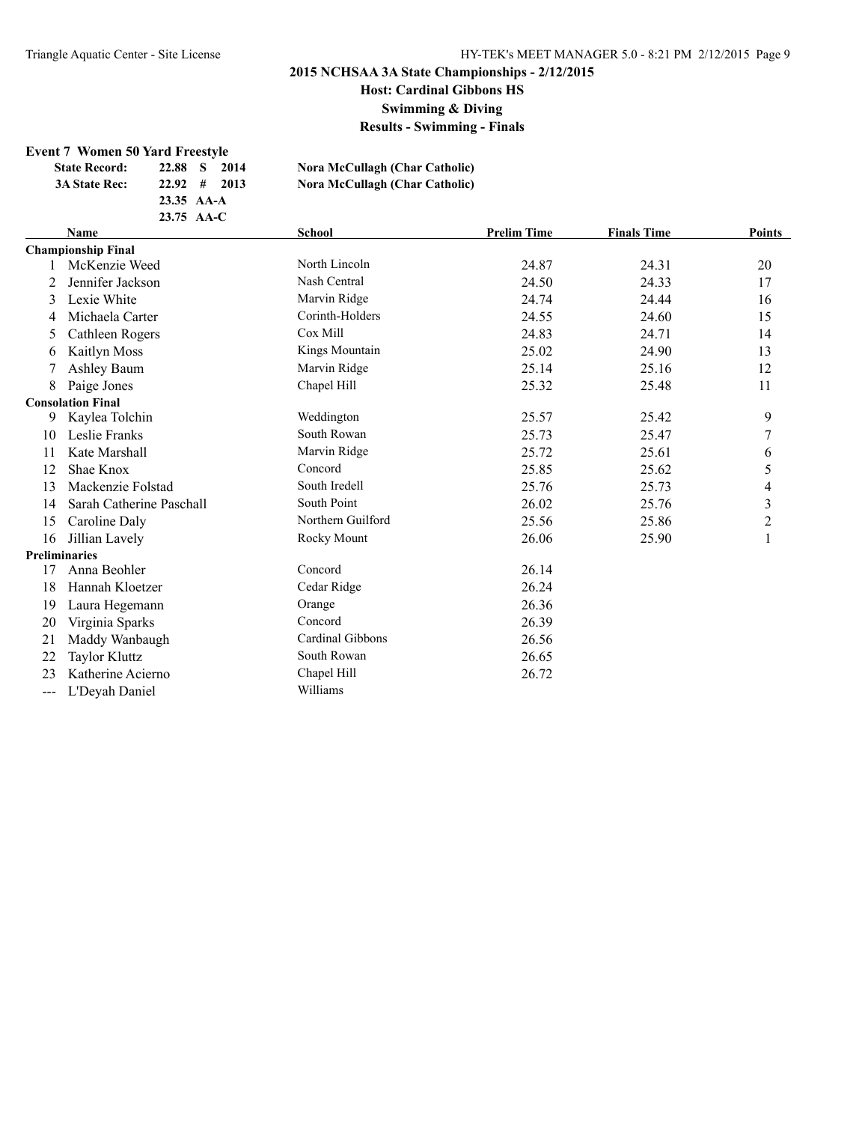**Host: Cardinal Gibbons HS**

**Swimming & Diving**

**Results - Swimming - Finals**

### **Event 7 Women 50 Yard Freestyle**

| <b>State Record:</b> | 22.88 S<br>2014            | Nora McCullagh (Char Catholic) |
|----------------------|----------------------------|--------------------------------|
| <b>3A State Rec:</b> | $22.92 \quad # \quad 2013$ | Nora McCullagh (Char Catholic) |
|                      | $23.35 \text{AA-A}$        |                                |
|                      | $23.75 \text{ AA-C}$       |                                |
|                      |                            |                                |

|                   | <b>Name</b>               | <b>School</b>     | <b>Prelim Time</b> | <b>Finals Time</b> | Points         |
|-------------------|---------------------------|-------------------|--------------------|--------------------|----------------|
|                   | <b>Championship Final</b> |                   |                    |                    |                |
|                   | McKenzie Weed             | North Lincoln     | 24.87              | 24.31              | 20             |
|                   | Jennifer Jackson          | Nash Central      | 24.50              | 24.33              | 17             |
| 3                 | Lexie White               | Marvin Ridge      | 24.74              | 24.44              | 16             |
| 4                 | Michaela Carter           | Corinth-Holders   | 24.55              | 24.60              | 15             |
| 5                 | Cathleen Rogers           | Cox Mill          | 24.83              | 24.71              | 14             |
| 6                 | Kaitlyn Moss              | Kings Mountain    | 25.02              | 24.90              | 13             |
|                   | Ashley Baum               | Marvin Ridge      | 25.14              | 25.16              | 12             |
| 8                 | Paige Jones               | Chapel Hill       | 25.32              | 25.48              | 11             |
|                   | <b>Consolation Final</b>  |                   |                    |                    |                |
| 9                 | Kaylea Tolchin            | Weddington        | 25.57              | 25.42              | 9              |
| 10                | Leslie Franks             | South Rowan       | 25.73              | 25.47              | 7              |
| 11                | Kate Marshall             | Marvin Ridge      | 25.72              | 25.61              | 6              |
| 12                | Shae Knox                 | Concord           | 25.85              | 25.62              | 5              |
| 13                | Mackenzie Folstad         | South Iredell     | 25.76              | 25.73              | 4              |
| 14                | Sarah Catherine Paschall  | South Point       | 26.02              | 25.76              | 3              |
| 15                | Caroline Daly             | Northern Guilford | 25.56              | 25.86              | $\overline{c}$ |
| 16                | Jillian Lavely            | Rocky Mount       | 26.06              | 25.90              | $\mathbf{1}$   |
|                   | <b>Preliminaries</b>      |                   |                    |                    |                |
| 17                | Anna Beohler              | Concord           | 26.14              |                    |                |
| 18                | Hannah Kloetzer           | Cedar Ridge       | 26.24              |                    |                |
| 19                | Laura Hegemann            | Orange            | 26.36              |                    |                |
| 20                | Virginia Sparks           | Concord           | 26.39              |                    |                |
| 21                | Maddy Wanbaugh            | Cardinal Gibbons  | 26.56              |                    |                |
| 22                | <b>Taylor Kluttz</b>      | South Rowan       | 26.65              |                    |                |
| 23                | Katherine Acierno         | Chapel Hill       | 26.72              |                    |                |
| $\qquad \qquad -$ | L'Deyah Daniel            | Williams          |                    |                    |                |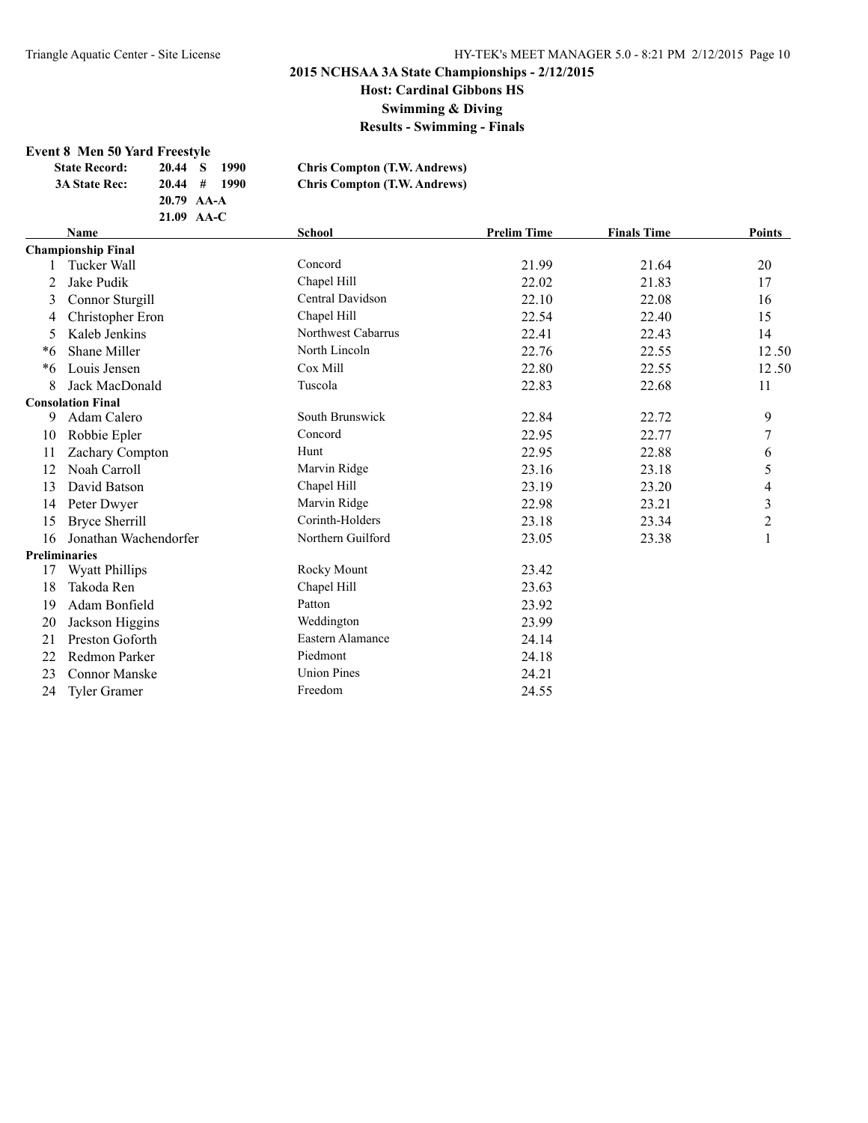**Swimming & Diving**

**Results - Swimming - Finals**

#### **Event 8 Men 50 Yard Freestyle**

| <b>State Record:</b> | 20.44 S        | -1990 | <b>Chris Compton (T.W. Andrews)</b> |
|----------------------|----------------|-------|-------------------------------------|
| <b>3A State Rec:</b> | $20.44$ # 1990 |       | <b>Chris Compton (T.W. Andrews)</b> |
|                      | 20.79 AA-A     |       |                                     |
|                      | $21.09$ AA-C   |       |                                     |
|                      |                |       |                                     |

|    | <b>Name</b>               | School             | <b>Prelim Time</b> | <b>Finals Time</b> | <b>Points</b>           |
|----|---------------------------|--------------------|--------------------|--------------------|-------------------------|
|    | <b>Championship Final</b> |                    |                    |                    |                         |
|    | Tucker Wall               | Concord            | 21.99              | 21.64              | 20                      |
| 2  | Jake Pudik                | Chapel Hill        | 22.02              | 21.83              | 17                      |
| 3  | Connor Sturgill           | Central Davidson   | 22.10              | 22.08              | 16                      |
| 4  | Christopher Eron          | Chapel Hill        | 22.54              | 22.40              | 15                      |
| 5. | Kaleb Jenkins             | Northwest Cabarrus | 22.41              | 22.43              | 14                      |
| *6 | Shane Miller              | North Lincoln      | 22.76              | 22.55              | 12.50                   |
| *6 | Louis Jensen              | Cox Mill           | 22.80              | 22.55              | 12.50                   |
| 8  | Jack MacDonald            | Tuscola            | 22.83              | 22.68              | 11                      |
|    | <b>Consolation Final</b>  |                    |                    |                    |                         |
| 9  | Adam Calero               | South Brunswick    | 22.84              | 22.72              | 9                       |
| 10 | Robbie Epler              | Concord            | 22.95              | 22.77              | 7                       |
| 11 | Zachary Compton           | Hunt               | 22.95              | 22.88              | 6                       |
| 12 | Noah Carroll              | Marvin Ridge       | 23.16              | 23.18              | 5                       |
| 13 | David Batson              | Chapel Hill        | 23.19              | 23.20              | 4                       |
| 14 | Peter Dwyer               | Marvin Ridge       | 22.98              | 23.21              | $\overline{\mathbf{3}}$ |
| 15 | <b>Bryce Sherrill</b>     | Corinth-Holders    | 23.18              | 23.34              | $\overline{c}$          |
| 16 | Jonathan Wachendorfer     | Northern Guilford  | 23.05              | 23.38              | $\mathbf{1}$            |
|    | <b>Preliminaries</b>      |                    |                    |                    |                         |
| 17 | <b>Wyatt Phillips</b>     | Rocky Mount        | 23.42              |                    |                         |
| 18 | Takoda Ren                | Chapel Hill        | 23.63              |                    |                         |
| 19 | Adam Bonfield             | Patton             | 23.92              |                    |                         |
| 20 | Jackson Higgins           | Weddington         | 23.99              |                    |                         |
| 21 | Preston Goforth           | Eastern Alamance   | 24.14              |                    |                         |
| 22 | Redmon Parker             | Piedmont           | 24.18              |                    |                         |
| 23 | <b>Connor Manske</b>      | <b>Union Pines</b> | 24.21              |                    |                         |
| 24 | Tyler Gramer              | Freedom            | 24.55              |                    |                         |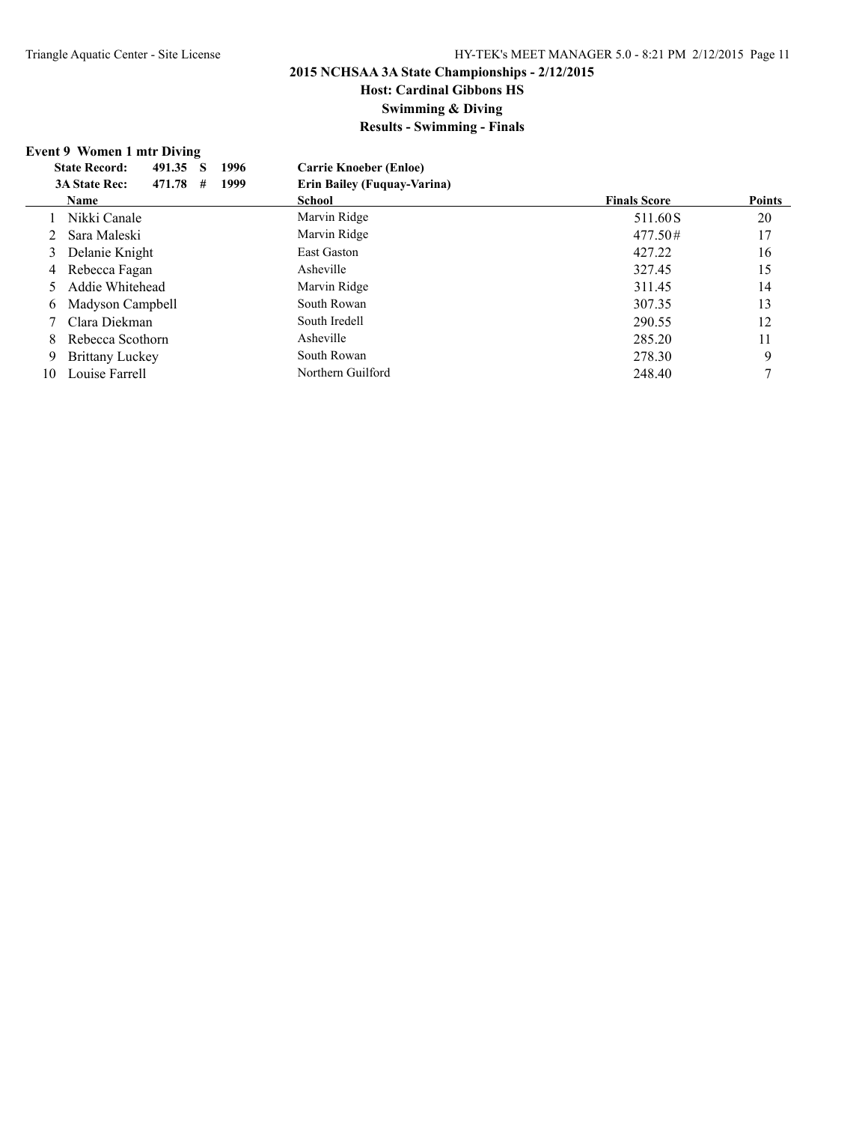# **Host: Cardinal Gibbons HS**

**Swimming & Diving**

**Results - Swimming - Finals**

### **Event 9 Women 1 mtr Diving**

|    | <b>State Record:</b><br>1996<br>491.35<br>S | <b>Carrie Knoeber (Enloe)</b>      |                     |               |
|----|---------------------------------------------|------------------------------------|---------------------|---------------|
|    | 471.78<br>1999<br><b>3A State Rec:</b><br># | <b>Erin Bailey (Fuguay-Varina)</b> |                     |               |
|    | <b>Name</b>                                 | <b>School</b>                      | <b>Finals Score</b> | <b>Points</b> |
|    | Nikki Canale                                | Marvin Ridge                       | 511.60 S            | 20            |
| 2  | Sara Maleski                                | Marvin Ridge                       | 477.50#             | 17            |
| 3  | Delanie Knight                              | <b>East Gaston</b>                 | 427.22              | 16            |
|    | 4 Rebecca Fagan                             | Asheville                          | 327.45              | 15            |
|    | Addie Whitehead                             | Marvin Ridge                       | 311.45              | 14            |
| 6  | Madyson Campbell                            | South Rowan                        | 307.35              | 13            |
|    | Clara Diekman                               | South Iredell                      | 290.55              | 12            |
| 8  | Rebecca Scothorn                            | Asheville                          | 285.20              | 11            |
| -9 | <b>Brittany Luckey</b>                      | South Rowan                        | 278.30              | 9             |
| 10 | Louise Farrell                              | Northern Guilford                  | 248.40              |               |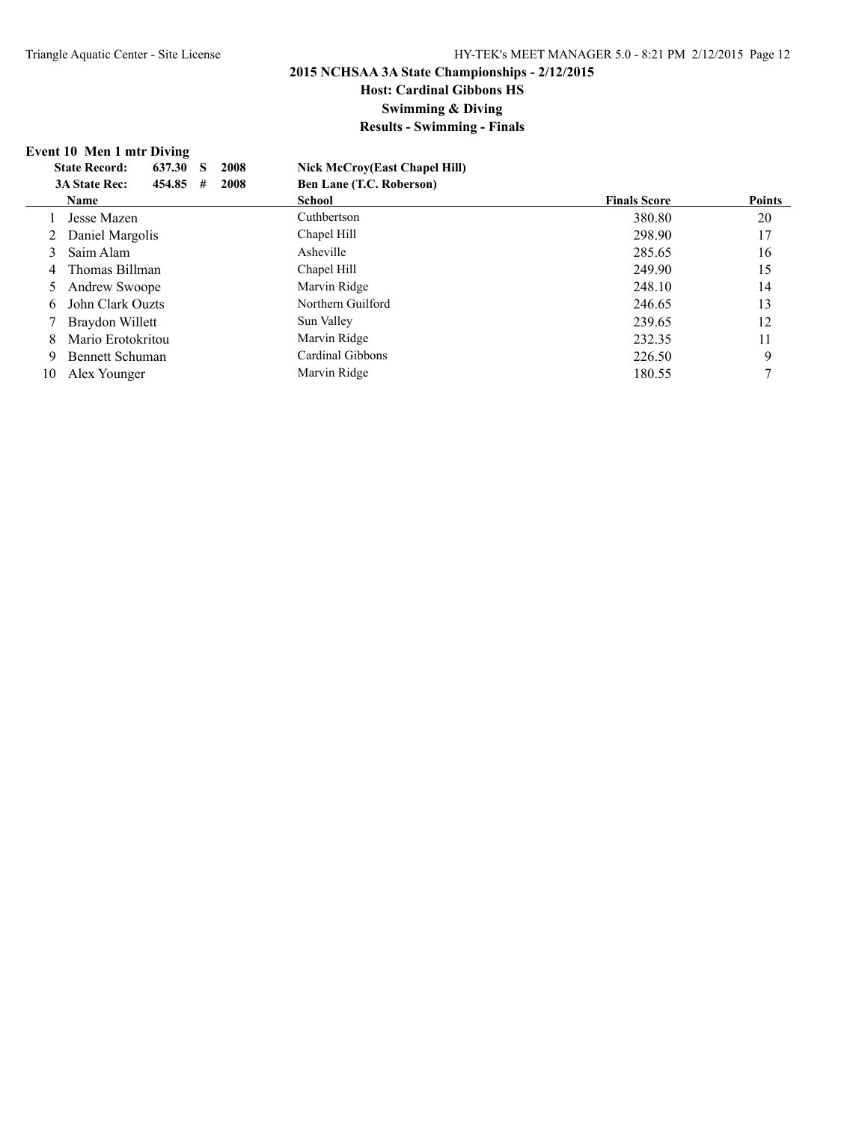# **Host: Cardinal Gibbons HS**

**Swimming & Diving**

**Results - Swimming - Finals**

### **Event 10 Men 1 mtr Diving**

|               | 2008<br><b>State Record:</b><br>637.30<br>S | <b>Nick McCroy(East Chapel Hill)</b> |                     |               |
|---------------|---------------------------------------------|--------------------------------------|---------------------|---------------|
|               | 2008<br><b>3A State Rec:</b><br>454.85<br># | <b>Ben Lane (T.C. Roberson)</b>      |                     |               |
|               | <b>Name</b>                                 | School                               | <b>Finals Score</b> | <b>Points</b> |
|               | Jesse Mazen                                 | Cuthbertson                          | 380.80              | 20            |
|               | Daniel Margolis                             | Chapel Hill                          | 298.90              | 17            |
| $\mathcal{E}$ | Saim Alam                                   | Asheville                            | 285.65              | 16            |
| 4             | Thomas Billman                              | Chapel Hill                          | 249.90              | 15            |
|               | Andrew Swoope                               | Marvin Ridge                         | 248.10              | 14            |
| 6             | John Clark Ouzts                            | Northern Guilford                    | 246.65              | 13            |
|               | Braydon Willett                             | Sun Valley                           | 239.65              | 12            |
| 8             | Mario Erotokritou                           | Marvin Ridge                         | 232.35              | 11            |
| 9             | Bennett Schuman                             | Cardinal Gibbons                     | 226.50              | 9             |
| 10            | Alex Younger                                | Marvin Ridge                         | 180.55              |               |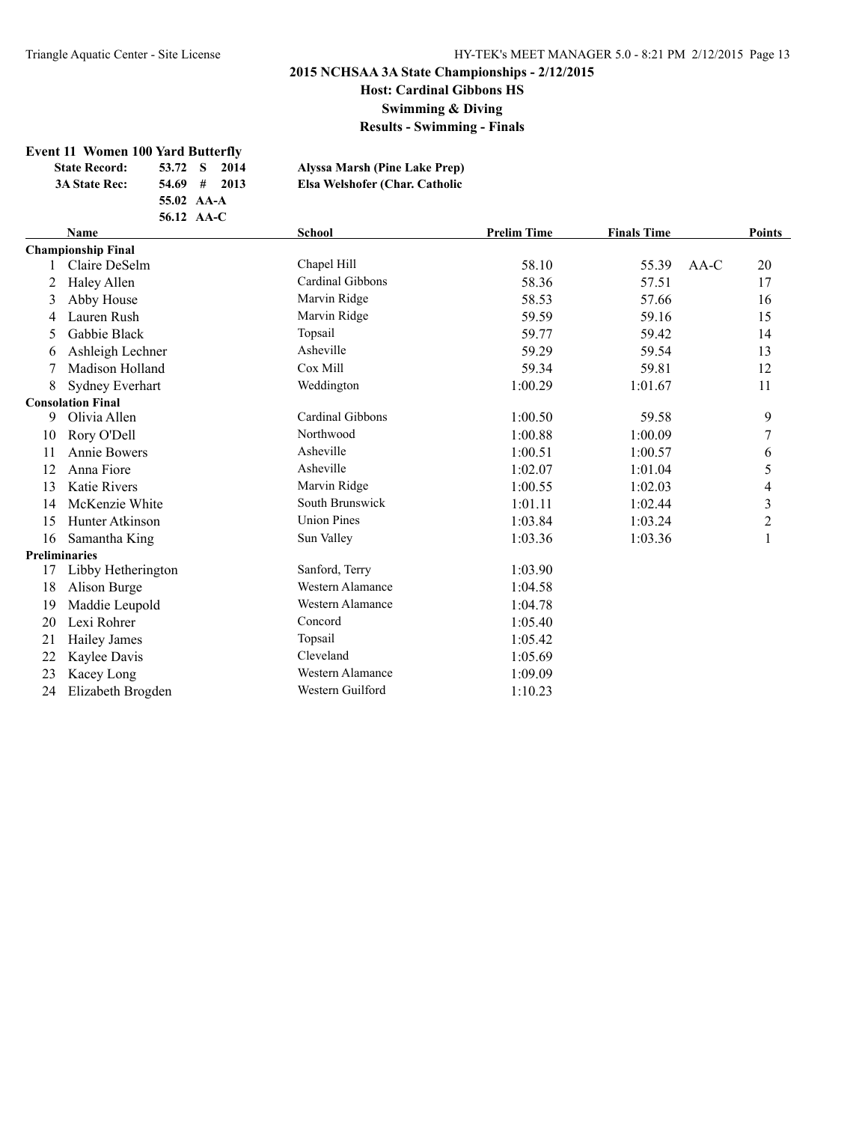**Host: Cardinal Gibbons HS**

**Swimming & Diving**

**Results - Swimming - Finals**

#### **Event 11 Women 100 Yard Butterfly**

| <b>State Record:</b> | 53.72 S    | 2014 | Alyssa Marsh (Pine Lake Prep)  |
|----------------------|------------|------|--------------------------------|
| <b>3A State Rec:</b> | $54.69$ #  | 2013 | Elsa Welshofer (Char. Catholic |
|                      | 55.02 AA-A |      |                                |

**56.12 AA-C**

|    | <b>Name</b><br><b>School</b> |                    | <b>Prelim Time</b> | <b>Finals Time</b> |        | <b>Points</b> |  |
|----|------------------------------|--------------------|--------------------|--------------------|--------|---------------|--|
|    | <b>Championship Final</b>    |                    |                    |                    |        |               |  |
|    | Claire DeSelm                | Chapel Hill        | 58.10              | 55.39              | $AA-C$ | 20            |  |
| 2  | Haley Allen                  | Cardinal Gibbons   | 58.36              | 57.51              |        | 17            |  |
| 3  | Abby House                   | Marvin Ridge       | 58.53              | 57.66              |        | 16            |  |
| 4  | Lauren Rush                  | Marvin Ridge       | 59.59              | 59.16              |        | 15            |  |
| 5  | Gabbie Black                 | Topsail            | 59.77              | 59.42              |        | 14            |  |
| 6  | Ashleigh Lechner             | Asheville          | 59.29              | 59.54              |        | 13            |  |
| 7  | Madison Holland              | Cox Mill           | 59.34              | 59.81              |        | 12            |  |
| 8  | Sydney Everhart              | Weddington         | 1:00.29            | 1:01.67            |        | 11            |  |
|    | <b>Consolation Final</b>     |                    |                    |                    |        |               |  |
| 9  | Olivia Allen                 | Cardinal Gibbons   | 1:00.50            | 59.58              |        | 9             |  |
| 10 | Rory O'Dell                  | Northwood          | 1:00.88            | 1:00.09            |        |               |  |
| 11 | <b>Annie Bowers</b>          | Asheville          | 1:00.51            | 1:00.57            |        | 6             |  |
| 12 | Anna Fiore                   | Asheville          | 1:02.07            | 1:01.04            |        | 5             |  |
| 13 | <b>Katie Rivers</b>          | Marvin Ridge       | 1:00.55            | 1:02.03            |        | 4             |  |
| 14 | McKenzie White               | South Brunswick    | 1:01.11            | 1:02.44            |        | 3             |  |
| 15 | Hunter Atkinson              | <b>Union Pines</b> | 1:03.84            | 1:03.24            |        | 2             |  |
| 16 | Samantha King                | Sun Valley         | 1:03.36            | 1:03.36            |        |               |  |
|    | <b>Preliminaries</b>         |                    |                    |                    |        |               |  |
| 17 | Libby Hetherington           | Sanford, Terry     | 1:03.90            |                    |        |               |  |
| 18 | Alison Burge                 | Western Alamance   | 1:04.58            |                    |        |               |  |
| 19 | Maddie Leupold               | Western Alamance   | 1:04.78            |                    |        |               |  |
| 20 | Lexi Rohrer                  | Concord            | 1:05.40            |                    |        |               |  |
| 21 | Hailey James                 | Topsail            | 1:05.42            |                    |        |               |  |
| 22 | Kaylee Davis                 | Cleveland          | 1:05.69            |                    |        |               |  |
| 23 | Kacey Long                   | Western Alamance   | 1:09.09            |                    |        |               |  |
| 24 | Elizabeth Brogden            | Western Guilford   | 1:10.23            |                    |        |               |  |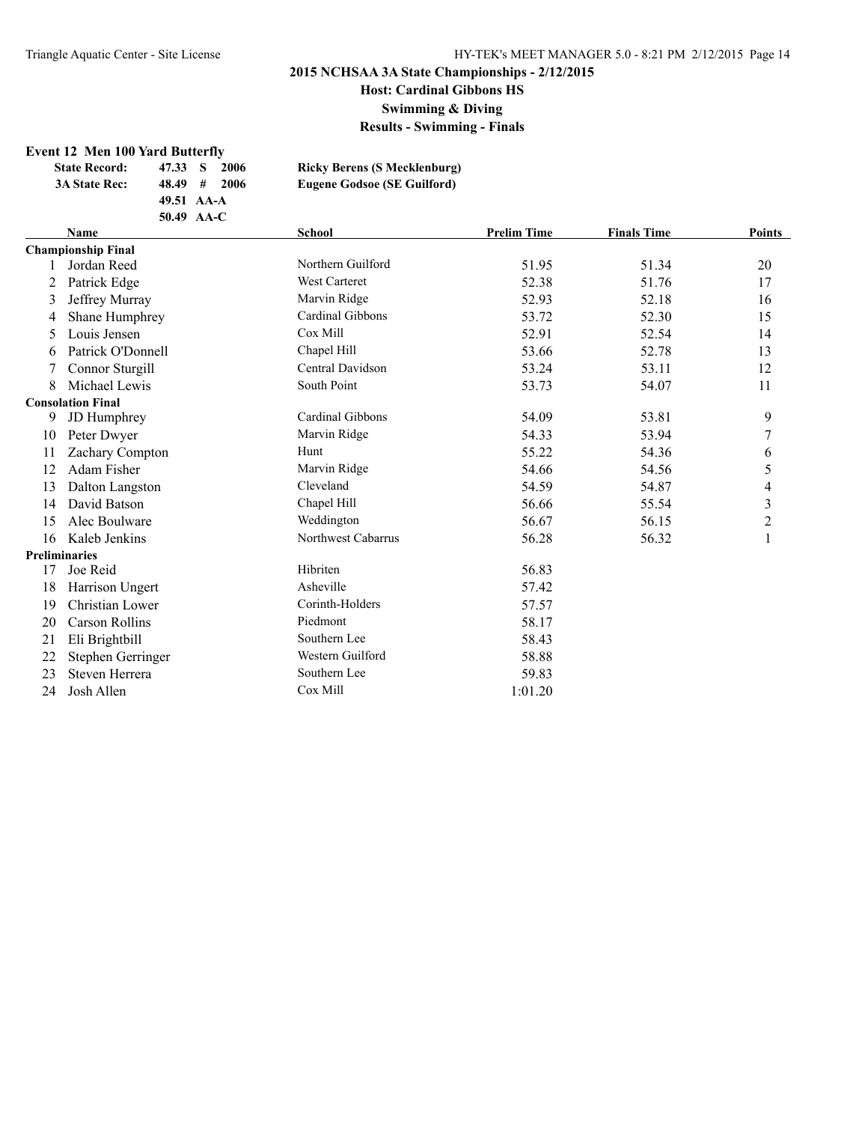**Swimming & Diving**

**Results - Swimming - Finals**

#### **Event 12 Men 100 Yard Butterfly**

| <b>State Record:</b> | 47.33 S | -2006                      | <b>Ricky Berens (S Mecklenburg)</b> |
|----------------------|---------|----------------------------|-------------------------------------|
| <b>3A State Rec:</b> |         | $48.49 \quad # \quad 2006$ | <b>Eugene Godsoe (SE Guilford)</b>  |
|                      |         | 49.51 AA-A                 |                                     |
|                      |         | 50.49 AA-C                 |                                     |
|                      |         |                            |                                     |

|    | <b>Name</b>               | <b>School</b>        | <b>Prelim Time</b> | <b>Finals Time</b> | <b>Points</b> |  |
|----|---------------------------|----------------------|--------------------|--------------------|---------------|--|
|    | <b>Championship Final</b> |                      |                    |                    |               |  |
|    | Jordan Reed               | Northern Guilford    | 51.95              | 51.34              | 20            |  |
| 2  | Patrick Edge              | <b>West Carteret</b> | 52.38              | 51.76              | 17            |  |
| 3  | Jeffrey Murray            | Marvin Ridge         | 52.93              | 52.18              | 16            |  |
| 4  | Shane Humphrey            | Cardinal Gibbons     | 53.72              | 52.30              | 15            |  |
| 5  | Louis Jensen              | Cox Mill             | 52.91              | 52.54              | 14            |  |
| 6  | Patrick O'Donnell         | Chapel Hill          | 53.66              | 52.78              | 13            |  |
|    | Connor Sturgill           | Central Davidson     | 53.24              | 53.11              | 12            |  |
| 8  | Michael Lewis             | South Point          | 53.73              | 54.07              | 11            |  |
|    | <b>Consolation Final</b>  |                      |                    |                    |               |  |
| 9  | JD Humphrey               | Cardinal Gibbons     | 54.09              | 53.81              | 9             |  |
| 10 | Peter Dwyer               | Marvin Ridge         | 54.33              | 53.94              | 7             |  |
| 11 | Zachary Compton           | Hunt                 | 55.22              | 54.36              | 6             |  |
| 12 | Adam Fisher               | Marvin Ridge         | 54.66              | 54.56              | 5             |  |
| 13 | Dalton Langston           | Cleveland            | 54.59              | 54.87              | 4             |  |
| 14 | David Batson              | Chapel Hill          | 56.66              | 55.54              | 3             |  |
| 15 | Alec Boulware             | Weddington           | 56.67              | 56.15              | 2             |  |
| 16 | Kaleb Jenkins             | Northwest Cabarrus   | 56.28              | 56.32              | 1             |  |
|    | <b>Preliminaries</b>      |                      |                    |                    |               |  |
| 17 | Joe Reid                  | Hibriten             | 56.83              |                    |               |  |
| 18 | Harrison Ungert           | Asheville            | 57.42              |                    |               |  |
| 19 | Christian Lower           | Corinth-Holders      | 57.57              |                    |               |  |
| 20 | Carson Rollins            | Piedmont             | 58.17              |                    |               |  |
| 21 | Eli Brightbill            | Southern Lee         | 58.43              |                    |               |  |
| 22 | Stephen Gerringer         | Western Guilford     | 58.88              |                    |               |  |
| 23 | Steven Herrera            | Southern Lee         | 59.83              |                    |               |  |
| 24 | Josh Allen                | Cox Mill             | 1:01.20            |                    |               |  |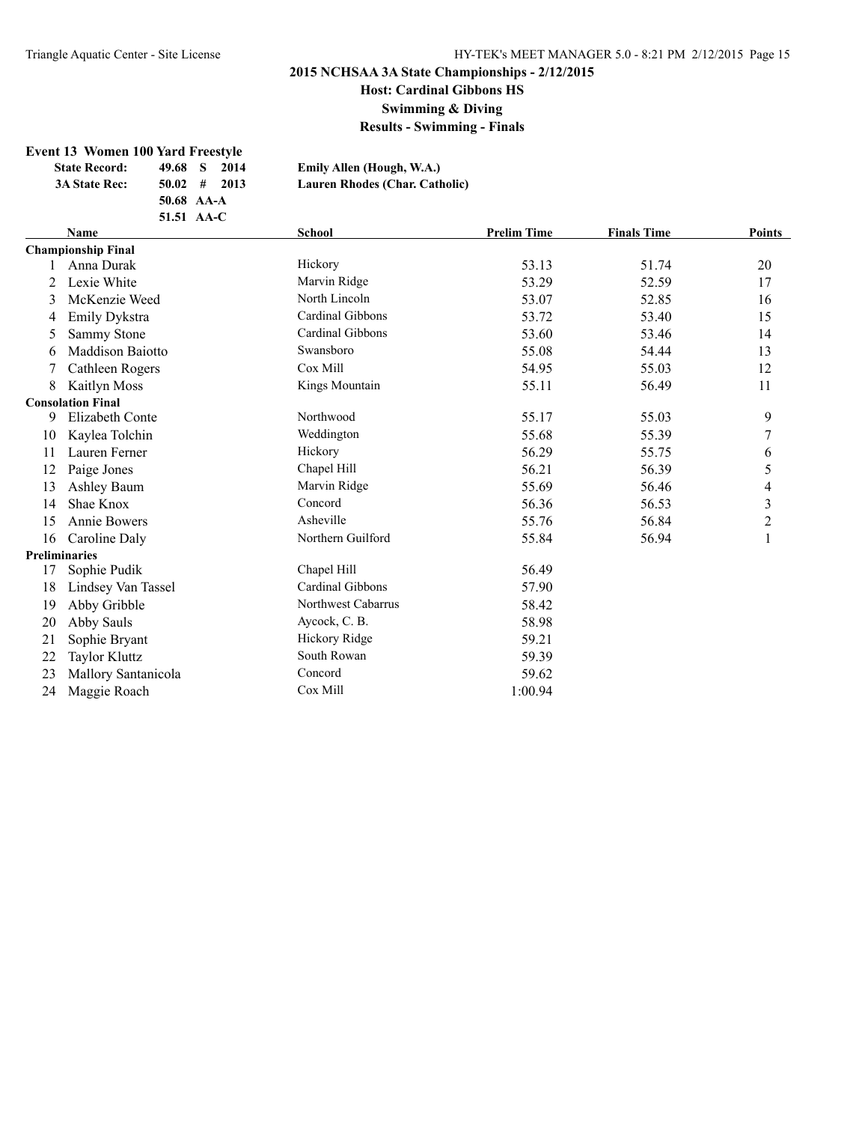**Swimming & Diving**

**Results - Swimming - Finals**

# **Event 13 Women 100 Yard Freestyle<br>State Record:** 49.68 S 2014

**Emily Allen (Hough, W.A.)** 

 $Lauren Rhodes (Char. Catholic)$ 

| state Record:        | $42.00 \times 2014$        |
|----------------------|----------------------------|
| <b>3A State Rec:</b> | $50.02 \quad # \quad 2013$ |
|                      | 50.68 AA-A                 |
|                      | 51.51 AA-C                 |

|    | <b>School</b><br><b>Name</b> |                    | <b>Prelim Time</b> | <b>Finals Time</b> | <b>Points</b>  |
|----|------------------------------|--------------------|--------------------|--------------------|----------------|
|    | <b>Championship Final</b>    |                    |                    |                    |                |
|    | Anna Durak                   | Hickory            | 53.13              | 51.74              | 20             |
| 2  | Lexie White                  | Marvin Ridge       | 53.29              | 52.59              | 17             |
| 3  | McKenzie Weed                | North Lincoln      | 53.07              | 52.85              | 16             |
| 4  | Emily Dykstra                | Cardinal Gibbons   | 53.72              | 53.40              | 15             |
| 5  | Sammy Stone                  | Cardinal Gibbons   | 53.60              | 53.46              | 14             |
| 6  | Maddison Baiotto             | Swansboro          | 55.08              | 54.44              | 13             |
|    | Cathleen Rogers              | Cox Mill           | 54.95              | 55.03              | 12             |
| 8  | Kaitlyn Moss                 | Kings Mountain     | 55.11              | 56.49              | 11             |
|    | <b>Consolation Final</b>     |                    |                    |                    |                |
| 9  | Elizabeth Conte              | Northwood          | 55.17              | 55.03              | 9              |
| 10 | Kaylea Tolchin               | Weddington         | 55.68              | 55.39              | 7              |
| 11 | Lauren Ferner                | Hickory            | 56.29              | 55.75              | 6              |
| 12 | Paige Jones                  | Chapel Hill        | 56.21              | 56.39              | 5              |
| 13 | Ashley Baum                  | Marvin Ridge       | 55.69              | 56.46              | 4              |
| 14 | Shae Knox                    | Concord            | 56.36              | 56.53              | $\mathfrak{Z}$ |
| 15 | Annie Bowers                 | Asheville          | 55.76              | 56.84              | $\overline{c}$ |
| 16 | Caroline Daly                | Northern Guilford  | 55.84              | 56.94              |                |
|    | <b>Preliminaries</b>         |                    |                    |                    |                |
| 17 | Sophie Pudik                 | Chapel Hill        | 56.49              |                    |                |
| 18 | Lindsey Van Tassel           | Cardinal Gibbons   | 57.90              |                    |                |
| 19 | Abby Gribble                 | Northwest Cabarrus | 58.42              |                    |                |
| 20 | Abby Sauls                   | Aycock, C. B.      | 58.98              |                    |                |
| 21 | Sophie Bryant                | Hickory Ridge      | 59.21              |                    |                |
| 22 | <b>Taylor Kluttz</b>         | South Rowan        | 59.39              |                    |                |
| 23 | Mallory Santanicola          | Concord            | 59.62              |                    |                |
| 24 | Maggie Roach                 | Cox Mill           | 1:00.94            |                    |                |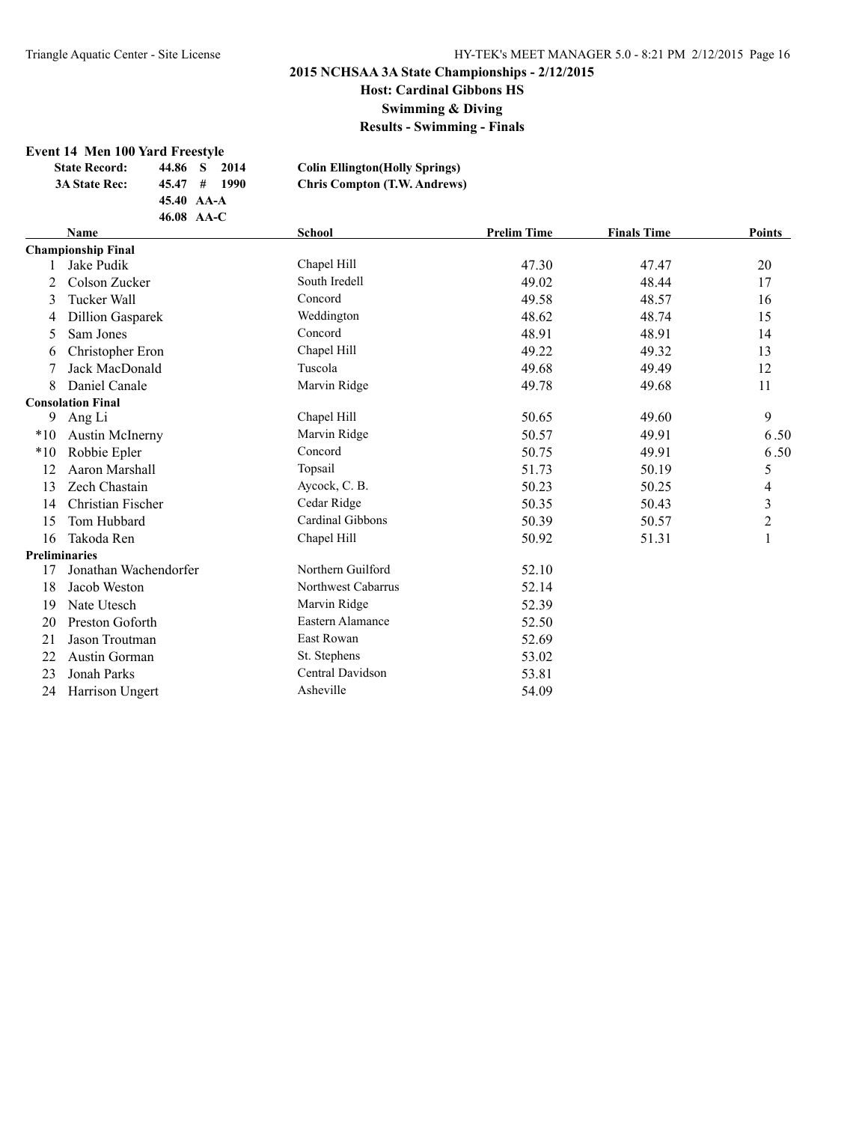**Swimming & Diving**

**Results - Swimming - Finals**

#### **Event 14 Men 100 Yard Freestyle**

| 2014 | <b>Colin Ellington</b> (Holly Springs)                    |
|------|-----------------------------------------------------------|
|      | <b>Chris Compton (T.W. Andrews)</b>                       |
|      |                                                           |
|      |                                                           |
|      | 44.86 S<br>$45.47 \pm 1990$<br>45.40 AA-A<br>$46.08$ AA-C |

|       | <b>Name</b>               | <b>School</b>      | <b>Prelim Time</b> | <b>Finals Time</b> | Points         |
|-------|---------------------------|--------------------|--------------------|--------------------|----------------|
|       | <b>Championship Final</b> |                    |                    |                    |                |
|       | Jake Pudik                | Chapel Hill        | 47.30              | 47.47              | 20             |
| 2     | Colson Zucker             | South Iredell      | 49.02              | 48.44              | 17             |
| 3     | Tucker Wall               | Concord            | 49.58              | 48.57              | 16             |
| 4     | <b>Dillion Gasparek</b>   | Weddington         | 48.62              | 48.74              | 15             |
| 5     | Sam Jones                 | Concord            | 48.91              | 48.91              | 14             |
| 6     | Christopher Eron          | Chapel Hill        | 49.22              | 49.32              | 13             |
|       | Jack MacDonald            | Tuscola            | 49.68              | 49.49              | 12             |
| 8     | Daniel Canale             | Marvin Ridge       | 49.78              | 49.68              | 11             |
|       | <b>Consolation Final</b>  |                    |                    |                    |                |
| 9     | Ang Li                    | Chapel Hill        | 50.65              | 49.60              | 9              |
| $*10$ | <b>Austin McInerny</b>    | Marvin Ridge       | 50.57              | 49.91              | 6.50           |
| $*10$ | Robbie Epler              | Concord            | 50.75              | 49.91              | 6.50           |
| 12    | Aaron Marshall            | Topsail            | 51.73              | 50.19              | 5              |
| 13    | Zech Chastain             | Aycock, C. B.      | 50.23              | 50.25              | 4              |
| 14    | Christian Fischer         | Cedar Ridge        | 50.35              | 50.43              | 3              |
| 15    | Tom Hubbard               | Cardinal Gibbons   | 50.39              | 50.57              | $\overline{c}$ |
| 16    | Takoda Ren                | Chapel Hill        | 50.92              | 51.31              | 1              |
|       | <b>Preliminaries</b>      |                    |                    |                    |                |
| 17    | Jonathan Wachendorfer     | Northern Guilford  | 52.10              |                    |                |
| 18    | Jacob Weston              | Northwest Cabarrus | 52.14              |                    |                |
| 19    | Nate Utesch               | Marvin Ridge       | 52.39              |                    |                |
| 20    | Preston Goforth           | Eastern Alamance   | 52.50              |                    |                |
| 21    | Jason Troutman            | East Rowan         | 52.69              |                    |                |
| 22    | Austin Gorman             | St. Stephens       | 53.02              |                    |                |
| 23    | Jonah Parks               | Central Davidson   | 53.81              |                    |                |
| 24    | Harrison Ungert           | Asheville          | 54.09              |                    |                |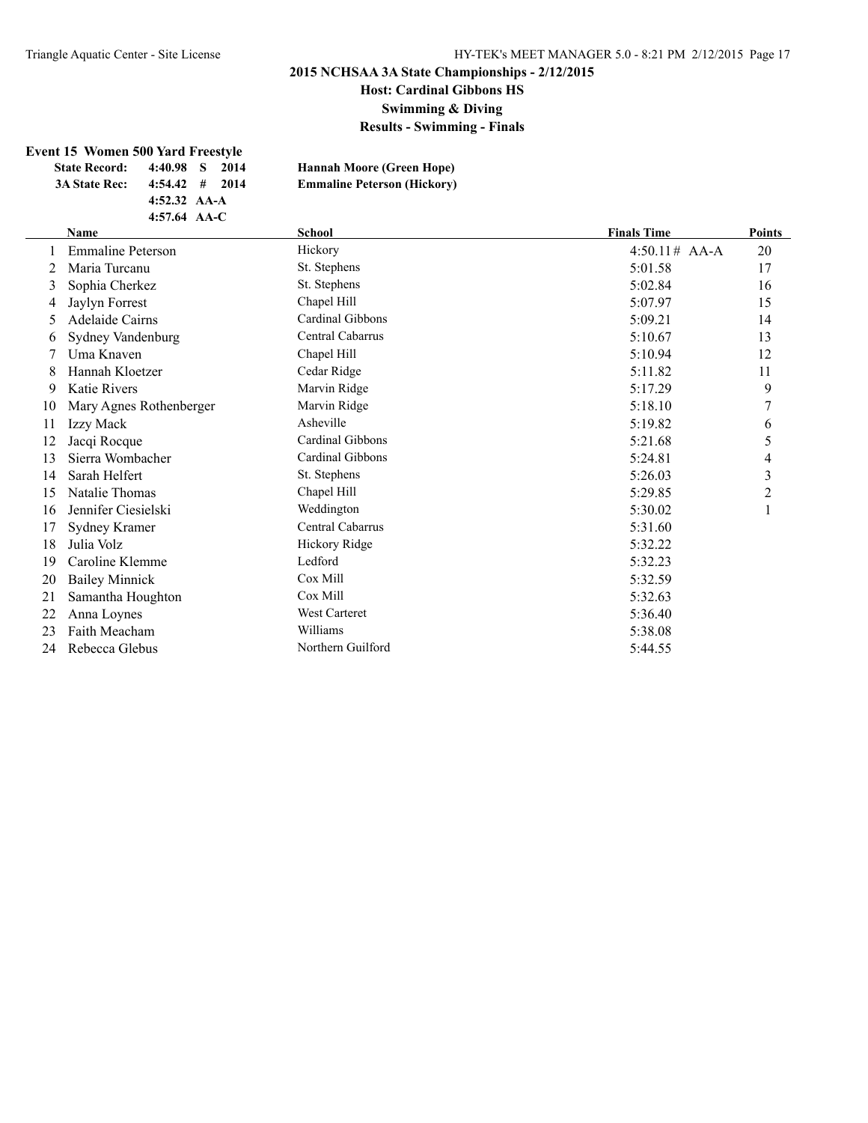**Host: Cardinal Gibbons HS**

**Swimming & Diving**

**Results - Swimming - Finals**

#### **Event 15 Women 500 Yard Freestyle**

| <b>State Record:</b> |                | 4:40.98 S 2014   | <b>Hannah Moore (Green Hope)</b>   |
|----------------------|----------------|------------------|------------------------------------|
| <b>3A State Rec:</b> |                | $4:54.42$ # 2014 | <b>Emmaline Peterson (Hickory)</b> |
|                      | 4:52.32 $AA-A$ |                  |                                    |
|                      | 4:57.64 $AA-C$ |                  |                                    |

| <b>Hannah Moore (Green Hope)</b>   |
|------------------------------------|
| <b>Emmaline Peterson (Hickory)</b> |

### **Name School Finals Time Points** 1 Emmaline Peterson Hickory Hickory 1:50.11# AA-A 20 2 Maria Turcanu St. Stephens 5:01.58 17 3 Sophia Cherkez St. Stephens 5:02.84 16 4 Jaylyn Forrest Chapel Hill 5:07.97 15 5 Adelaide Cairns Cardinal Gibbons 5:09.21 14 6 Sydney Vandenburg Central Cabarrus 5:10.67 13 7 Uma Knaven Chapel Hill 5:10.94 12 8 Hannah Kloetzer Cedar Ridge 6 11.82 11.82 11.82 11.82 11.82 11.82 11.82 11.82 11.82 11.82 11.82 11.82 11.82 11.82 11.82 11.82 11.82 11.82 11.82 11.82 11.82 11.82 11.82 11.82 11.82 11.82 11.82 11.82 11.82 11.82 11.82 11.8 9 Katie Rivers **Marvin Ridge** 5:17.29 9 10 Mary Agnes Rothenberger Marvin Ridge 5:18.10 7 11 Izzy Mack 6 Asheville 6:19.82 6 Asheville 12 Jacqi Rocque Cardinal Gibbons 5:21.68 5 13 Sierra Wombacher Cardinal Gibbons 5:24.81 4 14 Sarah Helfert St. Stephens 5:26.03 3 15 Natalie Thomas Chapel Hill 5:29.85 2 16 Jennifer Ciesielski Weddington 5:30.02 1 17 Sydney Kramer Central Cabarrus 5:31.60 18 Julia Volz **18 Similaris 18 Julia Volz** Hickory Ridge 5:32.22 Similar 19 Similar 19 Similar 19 Similar 19 Similar 19 Similar 19 Similar 19 Similar 19 Similar 19 Similar 19 Similar 19 Similar 19 Similar 19 Similar 19 Sim 19 Caroline Klemme Ledford 5:32.23 20 Bailey Minnick Cox Mill 5:32.59 21 Samantha Houghton Cox Mill 5:32.63 22 Anna Loynes West Carteret 5:36.40 23 Faith Meacham Williams 5:38.08 24 Rebecca Glebus Northern Guilford 5:44.55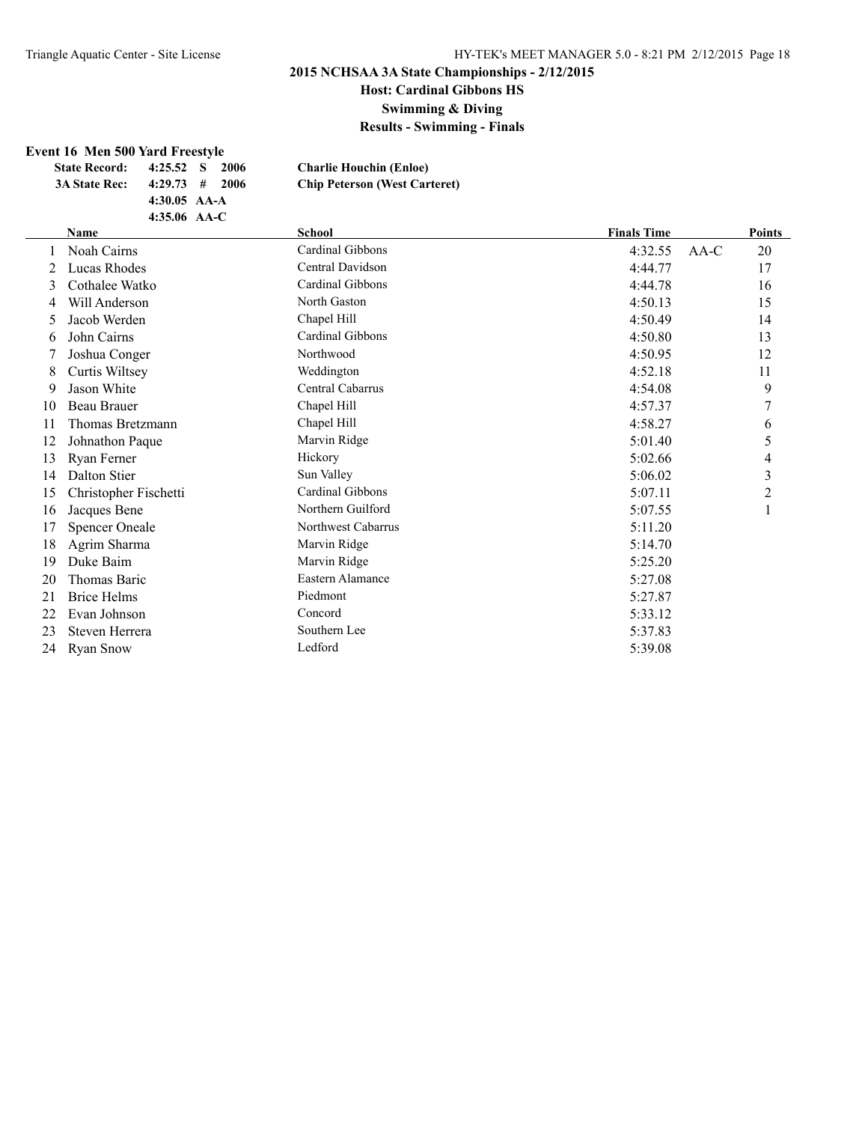**Host: Cardinal Gibbons HS**

**Swimming & Diving**

**Results - Swimming - Finals**

#### **Event 16 Men 500 Yard Freestyle**

| <b>State Record:</b> | 4:25.52 S        | -2006 | <b>Charlie Houchin (Enloe)</b>       |
|----------------------|------------------|-------|--------------------------------------|
| <b>3A State Rec:</b> | $4:29.73$ # 2006 |       | <b>Chip Peterson (West Carteret)</b> |
|                      | 4:30.05 $AA-A$   |       |                                      |

**4:35.06 AA-C**

|    | <b>Name</b>           | <b>School</b>      | <b>Finals Time</b> | <b>Points</b> |
|----|-----------------------|--------------------|--------------------|---------------|
|    | Noah Cairns           | Cardinal Gibbons   | 4:32.55<br>$AA-C$  | 20            |
| 2  | Lucas Rhodes          | Central Davidson   | 4:44.77            | 17            |
| 3  | Cothalee Watko        | Cardinal Gibbons   | 4:44.78            | 16            |
| 4  | Will Anderson         | North Gaston       | 4:50.13            | 15            |
| 5. | Jacob Werden          | Chapel Hill        | 4:50.49            | 14            |
| 6  | John Cairns           | Cardinal Gibbons   | 4:50.80            | 13            |
|    | Joshua Conger         | Northwood          | 4:50.95            | 12            |
| 8  | Curtis Wiltsey        | Weddington         | 4:52.18            | 11            |
| 9  | Jason White           | Central Cabarrus   | 4:54.08            | 9             |
| 10 | <b>Beau Brauer</b>    | Chapel Hill        | 4:57.37            | 7             |
| 11 | Thomas Bretzmann      | Chapel Hill        | 4:58.27            | 6             |
| 12 | Johnathon Paque       | Marvin Ridge       | 5:01.40            | 5             |
| 13 | Ryan Ferner           | Hickory            | 5:02.66            | 4             |
| 14 | Dalton Stier          | Sun Valley         | 5:06.02            | 3             |
| 15 | Christopher Fischetti | Cardinal Gibbons   | 5:07.11            | 2             |
| 16 | Jacques Bene          | Northern Guilford  | 5:07.55            | 1             |
| 17 | <b>Spencer Oneale</b> | Northwest Cabarrus | 5:11.20            |               |
| 18 | Agrim Sharma          | Marvin Ridge       | 5:14.70            |               |
| 19 | Duke Baim             | Marvin Ridge       | 5:25.20            |               |
| 20 | Thomas Baric          | Eastern Alamance   | 5:27.08            |               |
| 21 | <b>Brice Helms</b>    | Piedmont           | 5:27.87            |               |
| 22 | Evan Johnson          | Concord            | 5:33.12            |               |
| 23 | Steven Herrera        | Southern Lee       | 5:37.83            |               |
| 24 | <b>Ryan Snow</b>      | Ledford            | 5:39.08            |               |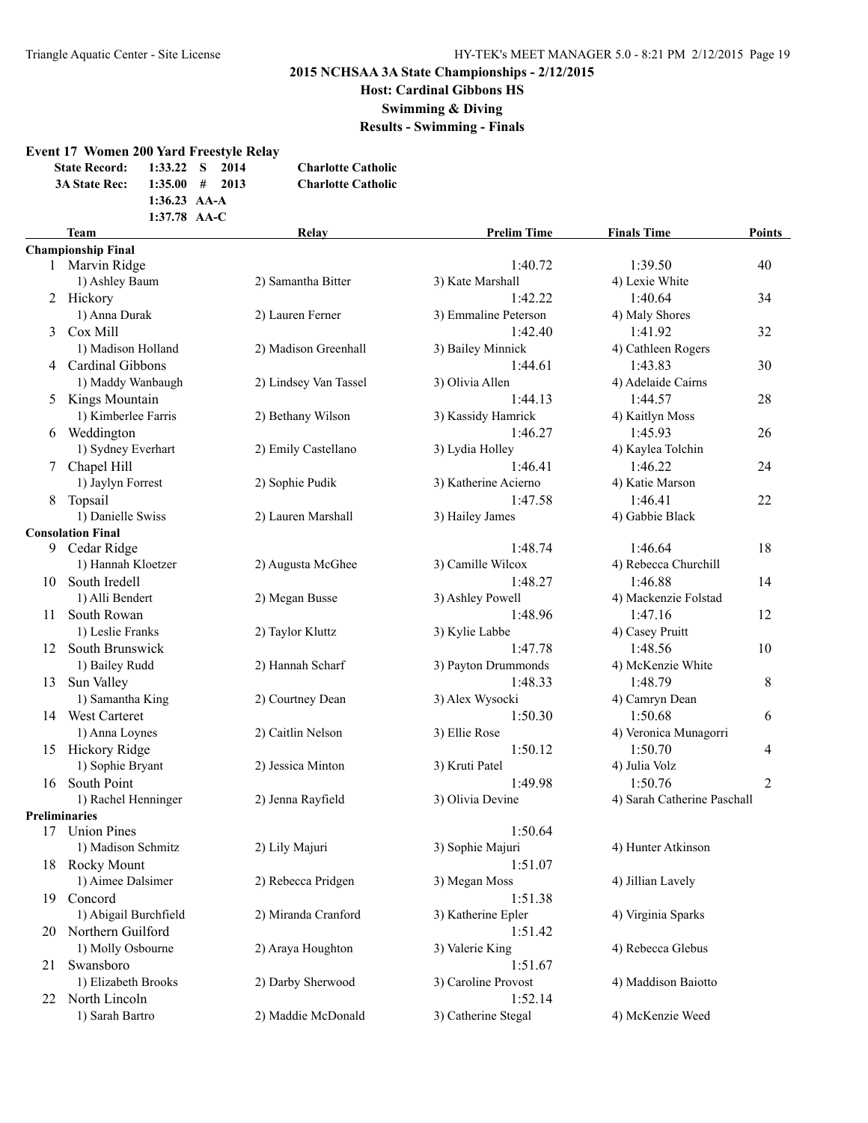**Host: Cardinal Gibbons HS**

**Swimming & Diving**

**Results - Swimming - Finals**

#### **Event 17 Women 200 Yard Freestyle Relay**

| <b>State Record:</b> 1:33.22 S |                | 2014 | <b>Charlotte Catholic</b> |
|--------------------------------|----------------|------|---------------------------|
| <b>3A State Rec:</b>           | 1:35.00#       | 2013 | <b>Charlotte Catholic</b> |
|                                | $1:36.23$ AA-A |      |                           |
|                                | $1:37.78$ AA-C |      |                           |

### **Team Relay Prelim Time Finals Time Points Championship Final** 1 Marvin Ridge 1:40.72 1:39.50 40 1) Ashley Baum 2) Samantha Bitter 3) Kate Marshall 4) Lexie White 2 Hickory 1:42.22 1:40.64 34 1) Anna Durak 2) Lauren Ferner 3) Emmaline Peterson 4) Maly Shores 3 Cox Mill 1:42.40 1:41.92 32 1) Madison Holland 2) Madison Greenhall 3) Bailey Minnick 4) Cathleen Rogers 4 Cardinal Gibbons 1:44.61 1:43.83 30 1) Maddy Wanbaugh 2) Lindsey Van Tassel 3) Olivia Allen 4) Adelaide Cairns 5 Kings Mountain 1:44.13 1:44.57 28 1) Kimberlee Farris 2) Bethany Wilson 3) Kassidy Hamrick 4) Kaitlyn Moss 6 Weddington 1:46.27 1:45.93 26 1) Sydney Everhart 2) Emily Castellano 3) Lydia Holley 4) Kaylea Tolchin 7 Chapel Hill 1:46.22 24 1) Jaylyn Forrest 2) Sophie Pudik 3) Katherine Acierno 4) Katie Marson 8 Topsail 1:47.58 1:46.41 22 1) Danielle Swiss 2) Lauren Marshall 3) Hailey James 4) Gabbie Black **Consolation Final** 9 Cedar Ridge 1:48.74 1:46.64 18 1) Hannah Kloetzer 2) Augusta McGhee 3) Camille Wilcox 4) Rebecca Churchill 10 South Iredell 1:48.27 1:46.88 14 1) Alli Bendert 2) Megan Busse 3) Ashley Powell 4) Mackenzie Folstad 11 South Rowan 1:48.96 1:47.16 12 1) Leslie Franks 2) Taylor Kluttz 3) Kylie Labbe 4) Casey Pruitt 12 South Brunswick 1:47.78 1:48.56 10 1) Bailey Rudd 2) Hannah Scharf 3) Payton Drummonds 4) McKenzie White 13 Sun Valley 8 8 1:48.33 1:48.79 8 1) Samantha King 2) Courtney Dean 3) Alex Wysocki 4) Camryn Dean 1.50.30 1:50.68 6 1:50.30 1:50.68 6 1:50.48 m 1) Anna Loynes 2) Caitlin Nelson 3) Ellie Rose 4) Veronica Munagorri 15 Hickory Ridge 1:50.12 1:50.70 4 1) Sophie Bryant 2) Jessica Minton 3) Kruti Patel 4) Julia Volz 16 South Point 1:49.98 1:50.76 2 1) Rachel Henninger 2) Jenna Rayfield 3) Olivia Devine 4) Sarah Catherine Paschall **Preliminaries** 17 Union Pines 1:50.64 1) Madison Schmitz 2) Lily Majuri 3) Sophie Majuri 4) Hunter Atkinson 18 Rocky Mount 1:51.07 1) Aimee Dalsimer 2) Rebecca Pridgen 3) Megan Moss 4) Jillian Lavely 19 Concord 1:51.38 1) Abigail Burchfield 2) Miranda Cranford 3) Katherine Epler 4) Virginia Sparks 20 Northern Guilford 1:51.42 1) Molly Osbourne 2) Araya Houghton 3) Valerie King 4) Rebecca Glebus 21 Swansboro 1:51.67 1) Elizabeth Brooks 2) Darby Sherwood 3) Caroline Provost 4) Maddison Baiotto 22 North Lincoln 1:52.14 1) Sarah Bartro 2) Maddie McDonald 3) Catherine Stegal 4) McKenzie Weed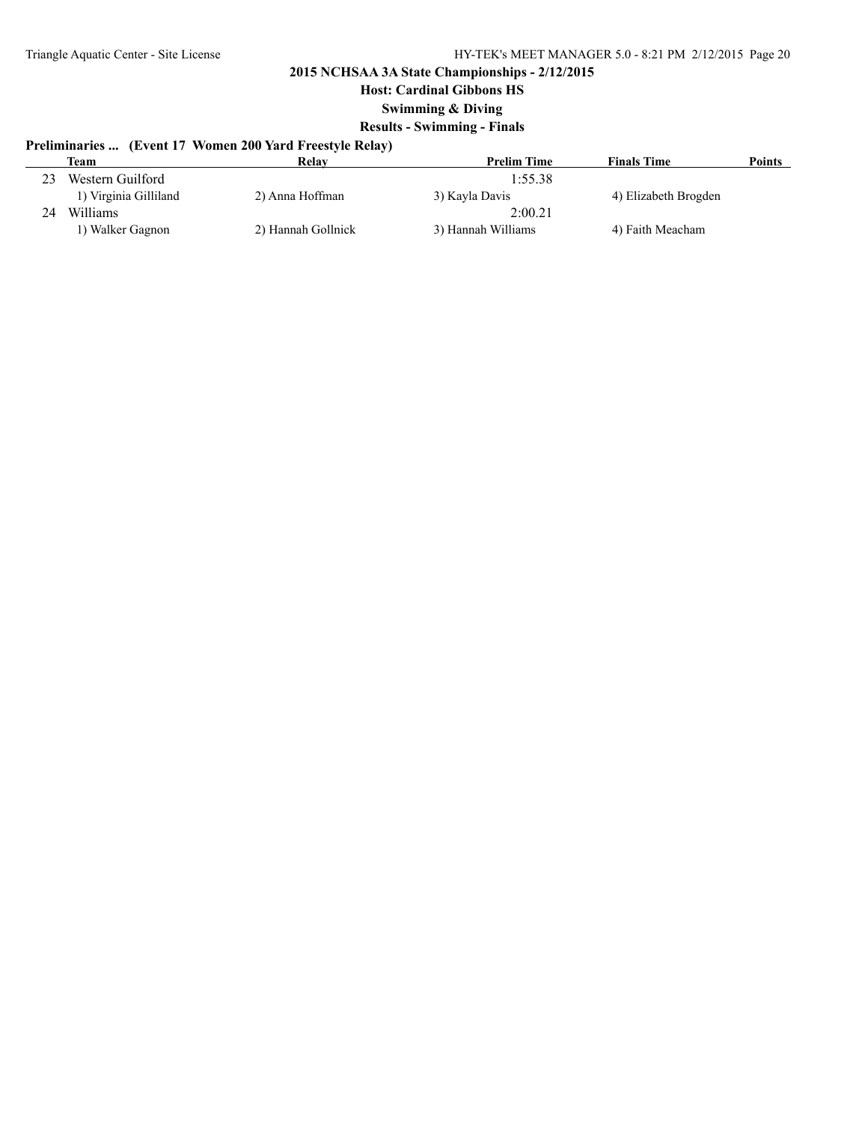**Host: Cardinal Gibbons HS**

**Swimming & Diving**

### **Results - Swimming - Finals**

# **Preliminaries ... (Event 17 Women 200 Yard Freestyle Relay)**

|    | <b>Team</b>           | Relay              | <b>Prelim Time</b> | <b>Finals Time</b>   | <b>Points</b> |
|----|-----------------------|--------------------|--------------------|----------------------|---------------|
| 23 | Western Guilford      |                    | 1:55.38            |                      |               |
|    | 1) Virginia Gilliland | 2) Anna Hoffman    | 3) Kayla Davis     | 4) Elizabeth Brogden |               |
| 24 | Williams              |                    | 2:00.21            |                      |               |
|    | l) Walker Gagnon      | 2) Hannah Gollnick | 3) Hannah Williams | 4) Faith Meacham     |               |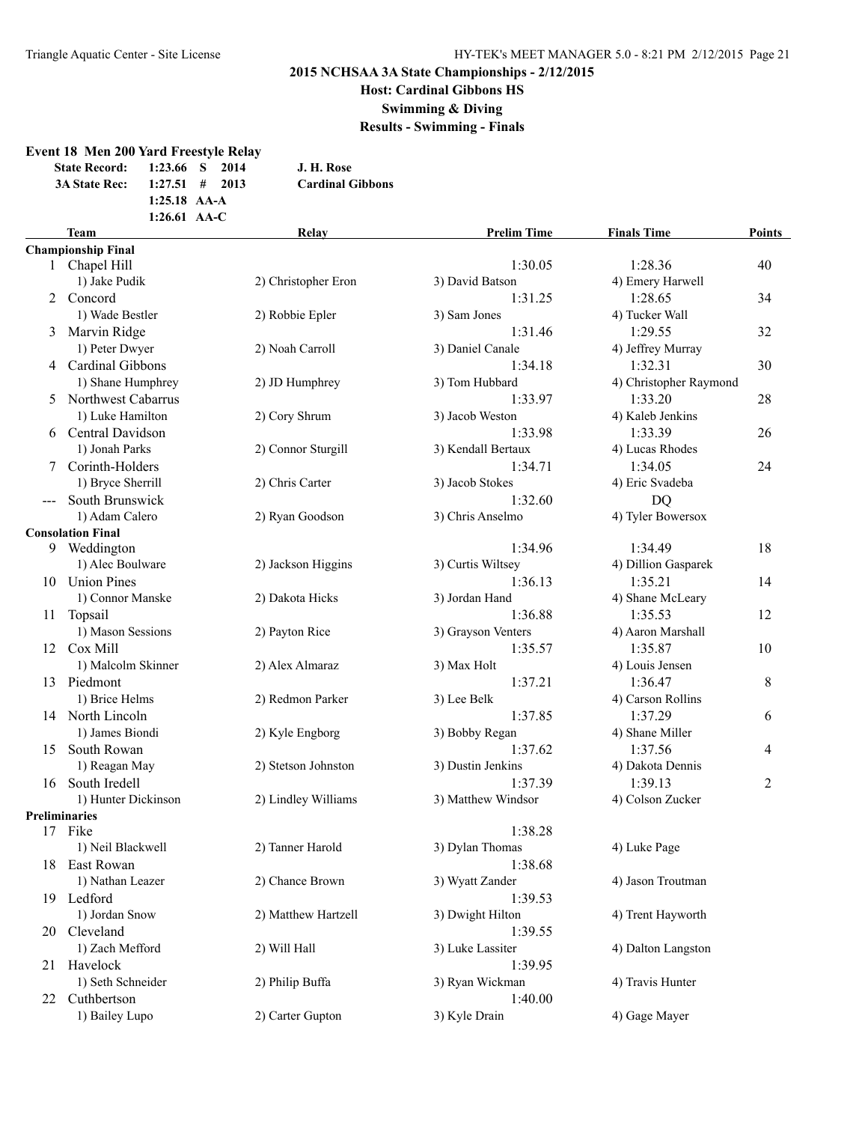**Host: Cardinal Gibbons HS**

**Swimming & Diving**

**Results - Swimming - Finals**

### **Event 18 Men 200 Yard Freestyle Relay State Record: 1:23.66 S 2014 J. H. Rose 3A State Rec: 1:27.51 # 2013 Cardinal Gibbons 1:25.18 AA-A 1:26.61 AA-C Team Relay Prelim Time Finals Time Points Championship Final** 1:30.05 1:28.36 40 1) Jake Pudik 2) Christopher Eron 3) David Batson 4) Emery Harwell 2 Concord 1:31.25 1:28.65 34 1) Wade Bestler 2) Robbie Epler 3) Sam Jones 4) Tucker Wall 3 Marvin Ridge 1:31.46 1:29.55 32 1) Peter Dwyer 2) Noah Carroll 3) Daniel Canale 4) Jeffrey Murray 4 Cardinal Gibbons 1:34.18 1:32.31 30 1) Shane Humphrey 2) JD Humphrey 3) Tom Hubbard 4) Christopher Raymond 5 Northwest Cabarrus 1:33.97 1:33.20 28 1) Luke Hamilton 2) Cory Shrum 3) Jacob Weston 4) Kaleb Jenkins 6 Central Davidson 1:33.98 1:33.39 26 1) Jonah Parks 2) Connor Sturgill 3) Kendall Bertaux 4) Lucas Rhodes 7 Corinth-Holders 24 24 25 26 26 27 28 29 29 20 21:34.71 2:34.05 24 1) Bryce Sherrill 2) Chris Carter 3) Jacob Stokes 4) Eric Svadeba --- South Brunswick 1:32.60 DQ 1) Adam Calero 2) Ryan Goodson 3) Chris Anselmo 4) Tyler Bowersox **Consolation Final** 9 Weddington 1:34.96 1:34.49 18 1) Alec Boulware 2) Jackson Higgins 3) Curtis Wiltsey 4) Dillion Gasparek 10 Union Pines 1:36.13 1:35.21 14 1) Connor Manske 2) Dakota Hicks 3) Jordan Hand 4) Shane McLeary 11 Topsail 1:36.88 1:35.53 12 1) Mason Sessions 2) Payton Rice 3) Grayson Venters 4) Aaron Marshall 12 Cox Mill 1:35.57 1:35.87 10 1) Malcolm Skinner 2) Alex Almaraz 3) Max Holt 4) Louis Jensen 13 Piedmont 1:37.21 1:36.47 8 1) Brice Helms 2) Redmon Parker 3) Lee Belk 4) Carson Rollins 14 North Lincoln 1:37.85 1:37.29 6 1) James Biondi 2) Kyle Engborg 3) Bobby Regan 4) Shane Miller 15 South Rowan 1:37.62 1:37.56 4 1) Reagan May 2) Stetson Johnston 3) Dustin Jenkins 4) Dakota Dennis 1:37.39 1:39.13 2 1:37.39 1:39.13 2 1) Hunter Dickinson 2) Lindley Williams 3) Matthew Windsor 4) Colson Zucker **Preliminaries** 17 Fike 1:38.28 1) Neil Blackwell 2) Tanner Harold 3) Dylan Thomas 4) Luke Page 18 East Rowan 1:38.68 1) Nathan Leazer 2) Chance Brown 3) Wyatt Zander 4) Jason Troutman 19 Ledford 1:39.53 1) Jordan Snow 2) Matthew Hartzell 3) Dwight Hilton 4) Trent Hayworth 20 Cleveland 1:39.55 1) Zach Mefford 2) Will Hall 3) Luke Lassiter 4) Dalton Langston 21 Havelock 1:39.95 1) Seth Schneider 2) Philip Buffa 3) Ryan Wickman 4) Travis Hunter 22 Cuthbertson 1:40.00 1) Bailey Lupo 2) Carter Gupton 3) Kyle Drain 4) Gage Mayer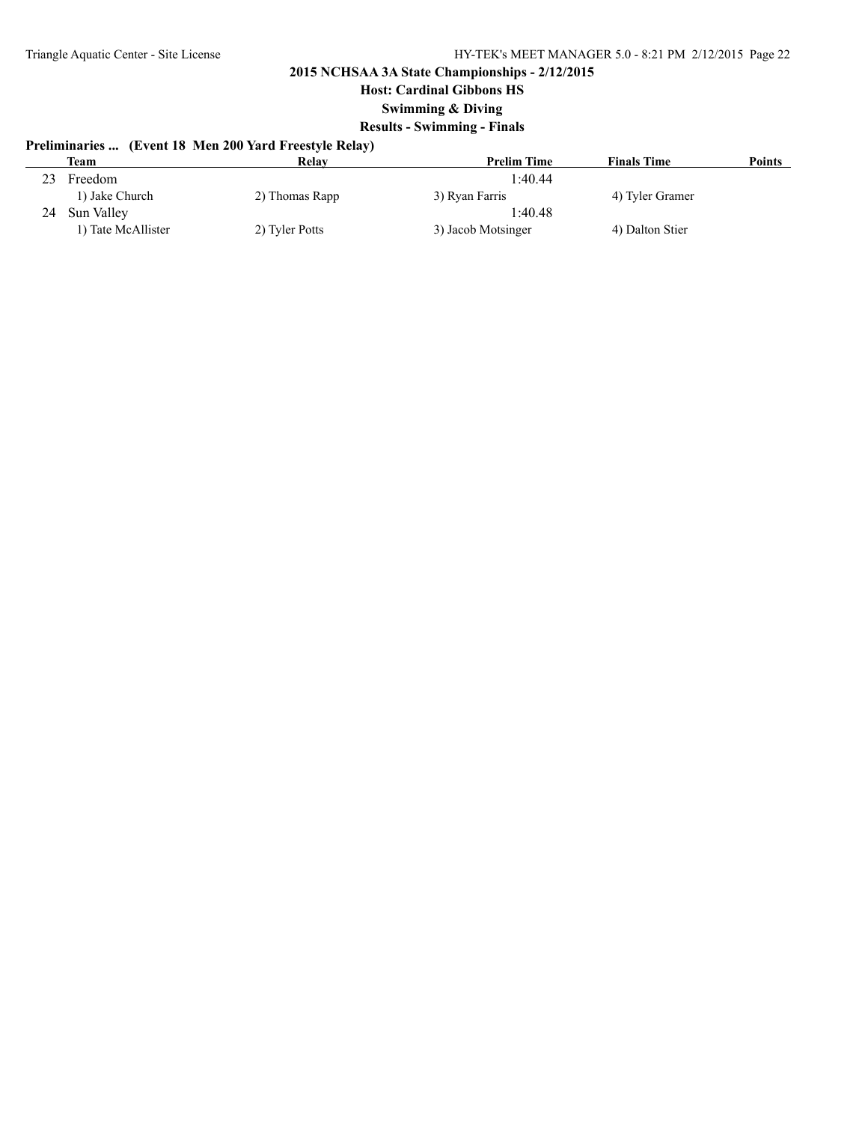**Host: Cardinal Gibbons HS**

### **Swimming & Diving**

### **Results - Swimming - Finals**

# **Preliminaries ... (Event 18 Men 200 Yard Freestyle Relay)**

|    | Team               | Relay          | <b>Prelim Time</b> | <b>Finals Time</b> | Points |
|----|--------------------|----------------|--------------------|--------------------|--------|
| 23 | Freedom            |                | 1:40.44            |                    |        |
|    | 1) Jake Church     | 2) Thomas Rapp | 3) Ryan Farris     | 4) Tyler Gramer    |        |
| 24 | Sun Valley         |                | 1:40.48            |                    |        |
|    | 1) Tate McAllister | 2) Tyler Potts | 3) Jacob Motsinger | 4) Dalton Stier    |        |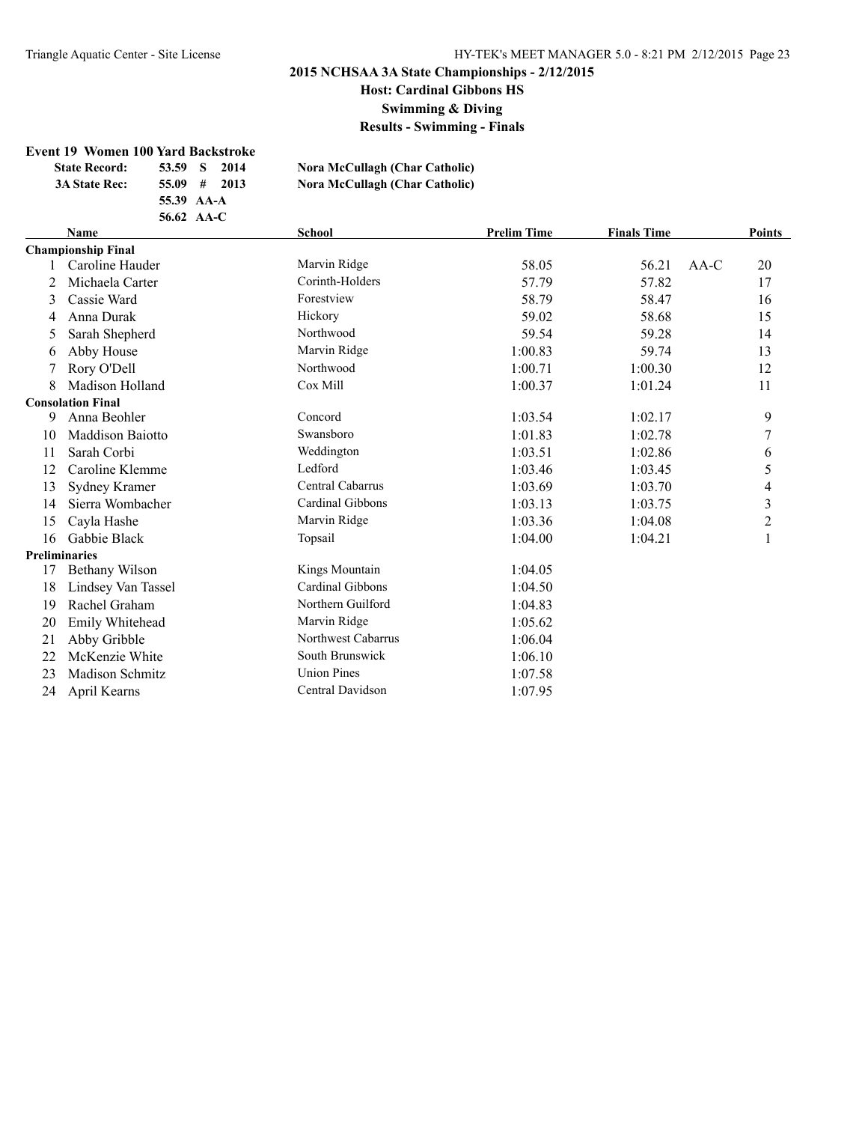**Host: Cardinal Gibbons HS**

**Swimming & Diving**

**Results - Swimming - Finals**

#### **Event 19 Women 100 Yard Backstroke**

|  | <b>State Record:</b> | 53.59 S<br>2014 | Nora McCullagh (Char Catholic) |
|--|----------------------|-----------------|--------------------------------|
|  | <b>3A State Rec:</b> | $55.09$ # 2013  | Nora McCullagh (Char Catholic) |
|  |                      | 55.39 AA-A      |                                |
|  |                      | 56.62 $AA-C$    |                                |

### **Name School Prelim Time Finals Time Points Championship Final** 1 Caroline Hauder Marvin Ridge 58.05 56.21 AA-C 20 2 Michaela Carter Corinth-Holders 57.79 57.82 17 3 Cassie Ward **Forestview** Forestview 58.79 58.47 16 4 Anna Durak Hickory 59.02 58.68 15 5 Sarah Shepherd Northwood 59.54 59.28 14 6 Abby House 1:00.83 59.74 13 7 Rory O'Dell Northwood 1:00.71 1:00.30 12 8 Madison Holland Cox Mill 1:00.37 1:01.24 11 **Consolation Final** 9 Anna Beohler Concord 1:03.54 1:02.17 9 10 Maddison Baiotto Swansboro 1:01.83 1:02.78 7 11 Sarah Corbi Weddington 1:03.51 1:02.86 6 12 Caroline Klemme Ledford Ledford 1:03.46 1:03.45 5 13 Sydney Kramer Central Cabarrus 1:03.69 1:03.70 4 14 Sierra Wombacher Cardinal Gibbons 1:03.13 1:03.75 3 15 Cayla Hashe **1:03.36** 1:04.08 2 16 Gabbie Black 1:04.00 1:04.21 1 1:04.21 1:04.21 1:04.21 1:04.21 1:04.21 1:04.21 1:04.21 1:04.21 1:04.21 1:04.21 1:04.21 1:04.21 1:04.21 1:04.21 1:04.21 1:04.21 1:04.21 1:04.21 1:04.21 1:04.21 1:04.21 1:04.21 1:04.21 1:04 **Preliminaries** 17 Bethany Wilson Kings Mountain 1:04.05 18 Lindsey Van Tassel Cardinal Gibbons 1:04.50 19 Rachel Graham Northern Guilford 1:04.83 20 Emily Whitehead Marvin Ridge 1:05.62 21 Abby Gribble Northwest Cabarrus 1:06.04 22 McKenzie White South Brunswick 1:06.10 23 Madison Schmitz Union Pines 1:07.58 24 April Kearns Central Davidson 1:07.95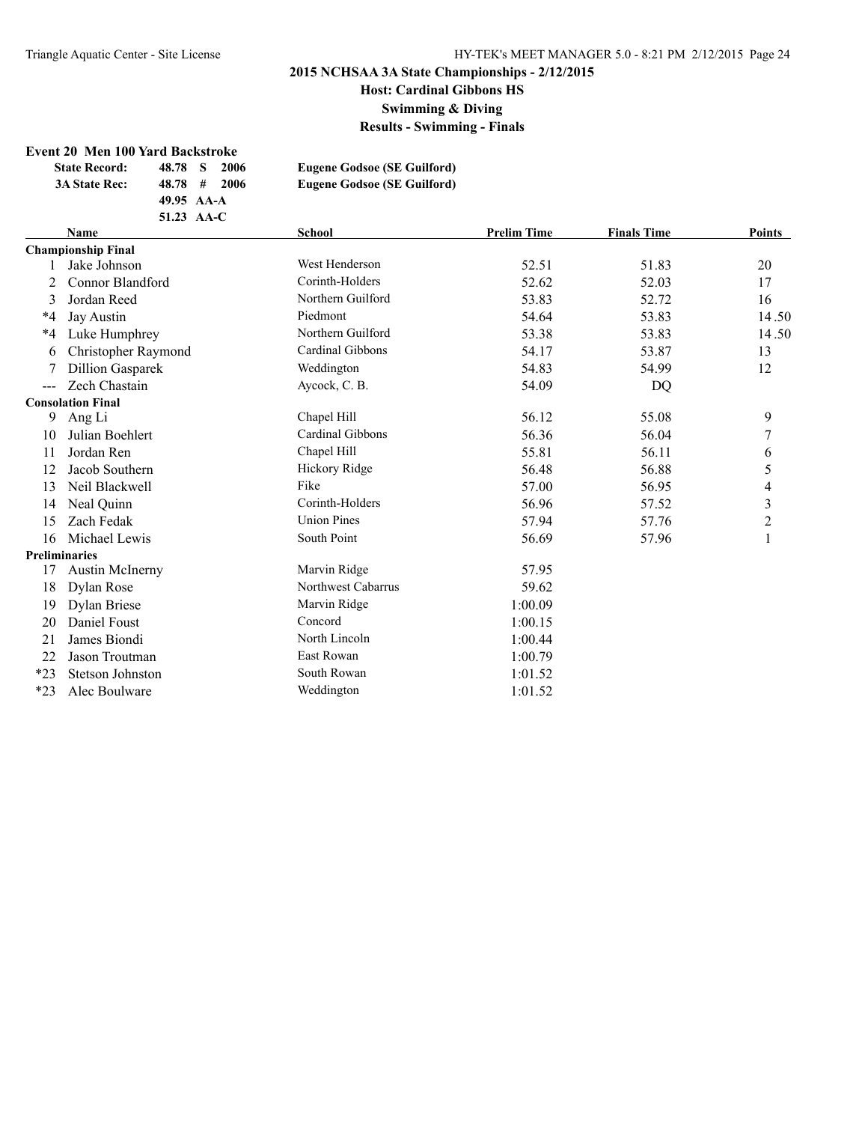**Host: Cardinal Gibbons HS**

**Swimming & Diving**

**Results - Swimming - Finals**

#### **Event 20 Men 100 Yard Backstroke**

| <b>State Record:</b>      | 48.78 S<br>-2006 | <b>Eugene Godsoe (SE Guilford)</b> |
|---------------------------|------------------|------------------------------------|
| <b>3A State Rec:</b>      | $48.78$ # 2006   | <b>Eugene Godsoe (SE Guilford)</b> |
|                           | 49.95 AA-A       |                                    |
|                           | 51.23 AA-C       |                                    |
| <b>Name</b>               |                  | School                             |
| <b>Chamnionshin Final</b> |                  |                                    |

|                     | <b>Name</b>               | <b>School</b>      | <b>Prelim Time</b> | <b>Finals Time</b> | <b>Points</b>            |
|---------------------|---------------------------|--------------------|--------------------|--------------------|--------------------------|
|                     | <b>Championship Final</b> |                    |                    |                    |                          |
|                     | Jake Johnson              | West Henderson     | 52.51              | 51.83              | 20                       |
|                     | Connor Blandford          | Corinth-Holders    | 52.62              | 52.03              | 17                       |
| 3                   | Jordan Reed               | Northern Guilford  | 53.83              | 52.72              | 16                       |
| *4                  | Jay Austin                | Piedmont           | 54.64              | 53.83              | 14.50                    |
| *4                  | Luke Humphrey             | Northern Guilford  | 53.38              | 53.83              | 14.50                    |
| 6                   | Christopher Raymond       | Cardinal Gibbons   | 54.17              | 53.87              | 13                       |
|                     | <b>Dillion Gasparek</b>   | Weddington         | 54.83              | 54.99              | 12                       |
| $\qquad \qquad - -$ | Zech Chastain             | Aycock, C. B.      | 54.09              | DQ                 |                          |
|                     | <b>Consolation Final</b>  |                    |                    |                    |                          |
| 9                   | Ang Li                    | Chapel Hill        | 56.12              | 55.08              | 9                        |
| 10                  | Julian Boehlert           | Cardinal Gibbons   | 56.36              | 56.04              | 7                        |
| 11                  | Jordan Ren                | Chapel Hill        | 55.81              | 56.11              | 6                        |
| 12                  | Jacob Southern            | Hickory Ridge      | 56.48              | 56.88              | 5                        |
| 13                  | Neil Blackwell            | Fike               | 57.00              | 56.95              | $\overline{\mathcal{A}}$ |
| 14                  | Neal Quinn                | Corinth-Holders    | 56.96              | 57.52              | 3                        |
| 15                  | Zach Fedak                | <b>Union Pines</b> | 57.94              | 57.76              | $\overline{2}$           |
| 16                  | Michael Lewis             | South Point        | 56.69              | 57.96              | $\mathbf{1}$             |
|                     | <b>Preliminaries</b>      |                    |                    |                    |                          |
| 17                  | <b>Austin McInerny</b>    | Marvin Ridge       | 57.95              |                    |                          |
| 18                  | Dylan Rose                | Northwest Cabarrus | 59.62              |                    |                          |
| 19                  | Dylan Briese              | Marvin Ridge       | 1:00.09            |                    |                          |
| 20                  | Daniel Foust              | Concord            | 1:00.15            |                    |                          |
| 21                  | James Biondi              | North Lincoln      | 1:00.44            |                    |                          |
| 22                  | Jason Troutman            | East Rowan         | 1:00.79            |                    |                          |
| $*23$               | <b>Stetson Johnston</b>   | South Rowan        | 1:01.52            |                    |                          |
| $*23$               | Alec Boulware             | Weddington         | 1:01.52            |                    |                          |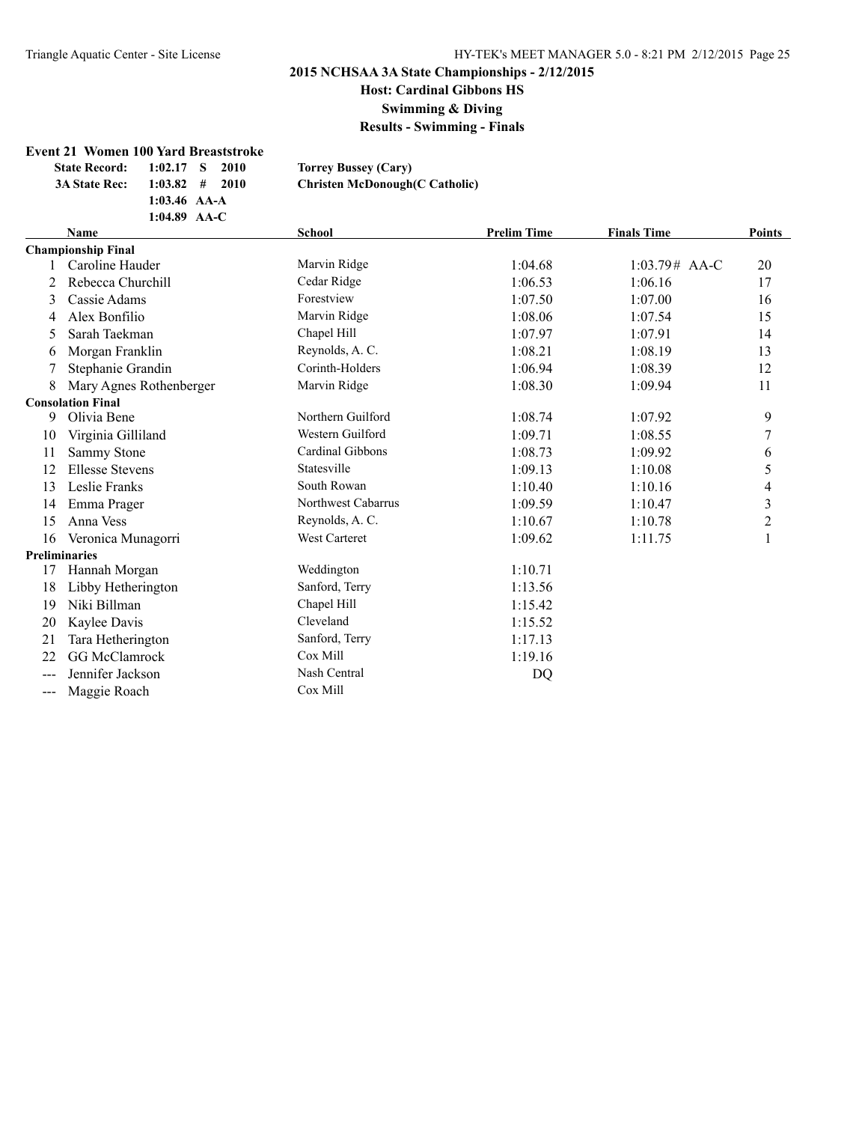**Host: Cardinal Gibbons HS**

**Swimming & Diving**

**Results - Swimming - Finals**

### **Event 21 Women 100 Yard Breaststroke**

**1:03.46 AA-A**

| <b>State Record:</b> | $1:02.17$ S | -2010 | <b>Torrey Bussey (Cary)</b>            |
|----------------------|-------------|-------|----------------------------------------|
| <b>3A State Rec:</b> | $1:03.82$ # | -2010 | <b>Christen McDonough (C Catholic)</b> |

|       | 1:04.89 AA-C              |                      |                    |                    |                         |
|-------|---------------------------|----------------------|--------------------|--------------------|-------------------------|
|       | <b>Name</b>               | School               | <b>Prelim Time</b> | <b>Finals Time</b> | <b>Points</b>           |
|       | <b>Championship Final</b> |                      |                    |                    |                         |
|       | Caroline Hauder           | Marvin Ridge         | 1:04.68            | $1:03.79#$ AA-C    | 20                      |
| 2     | Rebecca Churchill         | Cedar Ridge          | 1:06.53            | 1:06.16            | 17                      |
| 3     | Cassie Adams              | Forestview           | 1:07.50            | 1:07.00            | 16                      |
| 4     | Alex Bonfilio             | Marvin Ridge         | 1:08.06            | 1:07.54            | 15                      |
| 5     | Sarah Taekman             | Chapel Hill          | 1:07.97            | 1:07.91            | 14                      |
| 6     | Morgan Franklin           | Reynolds, A. C.      | 1:08.21            | 1:08.19            | 13                      |
|       | Stephanie Grandin         | Corinth-Holders      | 1:06.94            | 1:08.39            | 12                      |
| 8     | Mary Agnes Rothenberger   | Marvin Ridge         | 1:08.30            | 1:09.94            | 11                      |
|       | <b>Consolation Final</b>  |                      |                    |                    |                         |
| 9     | Olivia Bene               | Northern Guilford    | 1:08.74            | 1:07.92            | 9                       |
| 10    | Virginia Gilliland        | Western Guilford     | 1:09.71            | 1:08.55            | 7                       |
| 11    | Sammy Stone               | Cardinal Gibbons     | 1:08.73            | 1:09.92            | 6                       |
| 12    | <b>Ellesse Stevens</b>    | Statesville          | 1:09.13            | 1:10.08            | 5                       |
| 13    | Leslie Franks             | South Rowan          | 1:10.40            | 1:10.16            | 4                       |
| 14    | Emma Prager               | Northwest Cabarrus   | 1:09.59            | 1:10.47            | $\overline{\mathbf{3}}$ |
| 15    | Anna Vess                 | Reynolds, A. C.      | 1:10.67            | 1:10.78            | $\overline{c}$          |
| 16    | Veronica Munagorri        | <b>West Carteret</b> | 1:09.62            | 1:11.75            |                         |
|       | <b>Preliminaries</b>      |                      |                    |                    |                         |
| 17    | Hannah Morgan             | Weddington           | 1:10.71            |                    |                         |
| 18    | Libby Hetherington        | Sanford, Terry       | 1:13.56            |                    |                         |
| 19    | Niki Billman              | Chapel Hill          | 1:15.42            |                    |                         |
| 20    | Kaylee Davis              | Cleveland            | 1:15.52            |                    |                         |
| 21    | Tara Hetherington         | Sanford, Terry       | 1:17.13            |                    |                         |
| 22    | <b>GG McClamrock</b>      | Cox Mill             | 1:19.16            |                    |                         |
| $---$ | Jennifer Jackson          | Nash Central         | DQ                 |                    |                         |
| ---   | Maggie Roach              | Cox Mill             |                    |                    |                         |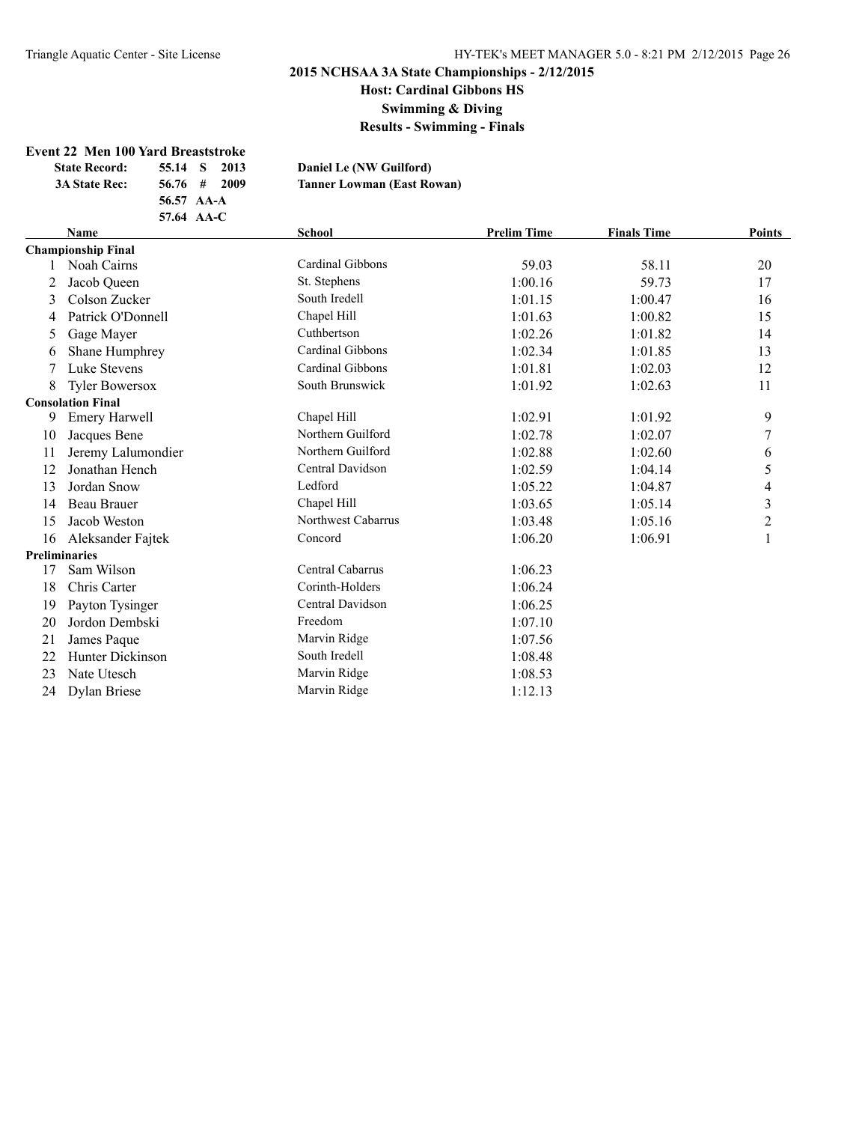**Host: Cardinal Gibbons HS**

**Swimming & Diving**

**Results - Swimming - Finals**

# **Event 22 Men 100 Yard Breaststroke**<br>State Becord: 55.14 S 2013

 $\mathbf{D}$  **State Ref. State Ref. State Ref. State Ref. State Ref. 55.14 C** 

 $L$ owman (East Rowan)

| State Record:        | 55.14 6 4013 |                  | рашен         |
|----------------------|--------------|------------------|---------------|
| <b>3A State Rec:</b> |              | $56.76 \pm 2009$ | <b>Tanner</b> |
|                      | 56.57 AA-A   |                  |               |
|                      | 57.64 AA-C   |                  |               |

|    | <b>Name</b>               | <b>School</b>      | <b>Prelim Time</b> | <b>Finals Time</b> | <b>Points</b>  |
|----|---------------------------|--------------------|--------------------|--------------------|----------------|
|    | <b>Championship Final</b> |                    |                    |                    |                |
|    | Noah Cairns               | Cardinal Gibbons   | 59.03              | 58.11              | 20             |
|    | Jacob Queen               | St. Stephens       | 1:00.16            | 59.73              | 17             |
| 3  | Colson Zucker             | South Iredell      | 1:01.15            | 1:00.47            | 16             |
| 4  | Patrick O'Donnell         | Chapel Hill        | 1:01.63            | 1:00.82            | 15             |
| 5  | Gage Mayer                | Cuthbertson        | 1:02.26            | 1:01.82            | 14             |
| 6  | Shane Humphrey            | Cardinal Gibbons   | 1:02.34            | 1:01.85            | 13             |
| 7  | Luke Stevens              | Cardinal Gibbons   | 1:01.81            | 1:02.03            | 12             |
| 8  | <b>Tyler Bowersox</b>     | South Brunswick    | 1:01.92            | 1:02.63            | 11             |
|    | <b>Consolation Final</b>  |                    |                    |                    |                |
| 9  | <b>Emery Harwell</b>      | Chapel Hill        | 1:02.91            | 1:01.92            | 9              |
| 10 | Jacques Bene              | Northern Guilford  | 1:02.78            | 1:02.07            | 7              |
| 11 | Jeremy Lalumondier        | Northern Guilford  | 1:02.88            | 1:02.60            | 6              |
| 12 | Jonathan Hench            | Central Davidson   | 1:02.59            | 1:04.14            | 5              |
| 13 | Jordan Snow               | Ledford            | 1:05.22            | 1:04.87            | 4              |
| 14 | <b>Beau Brauer</b>        | Chapel Hill        | 1:03.65            | 1:05.14            | $\mathfrak{Z}$ |
| 15 | Jacob Weston              | Northwest Cabarrus | 1:03.48            | 1:05.16            | $\overline{2}$ |
| 16 | Aleksander Fajtek         | Concord            | 1:06.20            | 1:06.91            |                |
|    | <b>Preliminaries</b>      |                    |                    |                    |                |
| 17 | Sam Wilson                | Central Cabarrus   | 1:06.23            |                    |                |
| 18 | Chris Carter              | Corinth-Holders    | 1:06.24            |                    |                |
| 19 | Payton Tysinger           | Central Davidson   | 1:06.25            |                    |                |
| 20 | Jordon Dembski            | Freedom            | 1:07.10            |                    |                |
| 21 | James Paque               | Marvin Ridge       | 1:07.56            |                    |                |
| 22 | Hunter Dickinson          | South Iredell      | 1:08.48            |                    |                |
| 23 | Nate Utesch               | Marvin Ridge       | 1:08.53            |                    |                |
| 24 | Dylan Briese              | Marvin Ridge       | 1:12.13            |                    |                |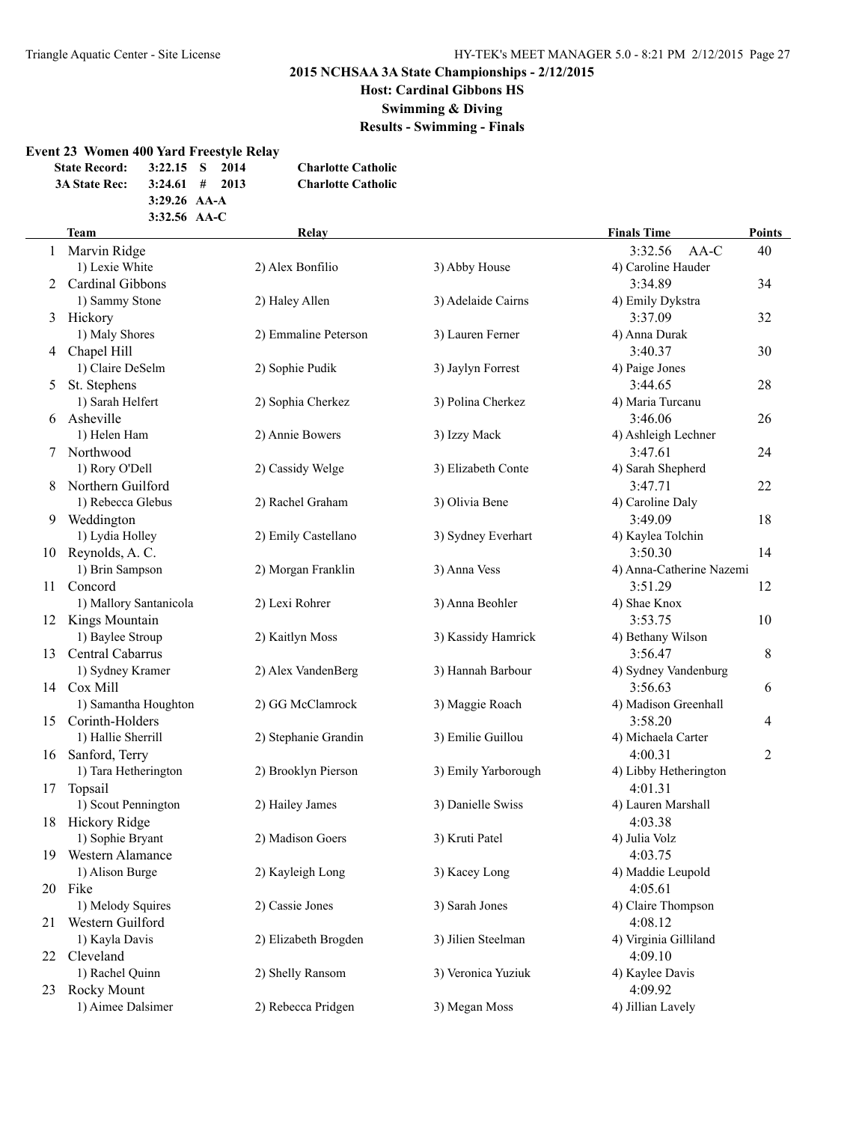# **Host: Cardinal Gibbons HS**

**Swimming & Diving**

**Results - Swimming - Finals**

### **Event 23 Women 400 Yard Freestyle Relay**

| <b>State Record:</b> | $3:22.15$ S 2014 |  | <b>Charlotte Catholic</b> |
|----------------------|------------------|--|---------------------------|
| <b>3A State Rec:</b> | $3:24.61$ # 2013 |  | <b>Charlotte Catholic</b> |
|                      | $3:29.26$ AA-A   |  |                           |
|                      | $3:32.56$ AA-C   |  |                           |

|    | <b>Team</b>            | Relay                |                     | <b>Finals Time</b>       | <b>Points</b> |
|----|------------------------|----------------------|---------------------|--------------------------|---------------|
| 1  | Marvin Ridge           |                      |                     | AA-C<br>3:32.56          | 40            |
|    | 1) Lexie White         | 2) Alex Bonfilio     | 3) Abby House       | 4) Caroline Hauder       |               |
| 2  | Cardinal Gibbons       |                      |                     | 3:34.89                  | 34            |
|    | 1) Sammy Stone         | 2) Haley Allen       | 3) Adelaide Cairns  | 4) Emily Dykstra         |               |
| 3  | Hickory                |                      |                     | 3:37.09                  | 32            |
|    | 1) Maly Shores         | 2) Emmaline Peterson | 3) Lauren Ferner    | 4) Anna Durak            |               |
|    | 4 Chapel Hill          |                      |                     | 3:40.37                  | 30            |
|    | 1) Claire DeSelm       | 2) Sophie Pudik      | 3) Jaylyn Forrest   | 4) Paige Jones           |               |
| 5  | St. Stephens           |                      |                     | 3:44.65                  | 28            |
|    | 1) Sarah Helfert       | 2) Sophia Cherkez    | 3) Polina Cherkez   | 4) Maria Turcanu         |               |
| 6  | Asheville              |                      |                     | 3:46.06                  | 26            |
|    | 1) Helen Ham           | 2) Annie Bowers      | 3) Izzy Mack        | 4) Ashleigh Lechner      |               |
|    | Northwood              |                      |                     | 3:47.61                  | 24            |
|    | 1) Rory O'Dell         | 2) Cassidy Welge     | 3) Elizabeth Conte  | 4) Sarah Shepherd        |               |
| 8  | Northern Guilford      |                      |                     | 3:47.71                  | 22            |
|    | 1) Rebecca Glebus      | 2) Rachel Graham     | 3) Olivia Bene      | 4) Caroline Daly         |               |
| 9  | Weddington             |                      |                     | 3:49.09                  | 18            |
|    | 1) Lydia Holley        | 2) Emily Castellano  | 3) Sydney Everhart  | 4) Kaylea Tolchin        |               |
| 10 | Reynolds, A. C.        |                      |                     | 3:50.30                  | 14            |
|    | 1) Brin Sampson        | 2) Morgan Franklin   | 3) Anna Vess        | 4) Anna-Catherine Nazemi |               |
| 11 | Concord                |                      |                     | 3:51.29                  | 12            |
|    | 1) Mallory Santanicola | 2) Lexi Rohrer       | 3) Anna Beohler     | 4) Shae Knox             |               |
|    | 12 Kings Mountain      |                      |                     | 3:53.75                  | 10            |
|    | 1) Baylee Stroup       | 2) Kaitlyn Moss      | 3) Kassidy Hamrick  | 4) Bethany Wilson        |               |
| 13 | Central Cabarrus       |                      |                     | 3:56.47                  | 8             |
|    | 1) Sydney Kramer       | 2) Alex VandenBerg   | 3) Hannah Barbour   | 4) Sydney Vandenburg     |               |
|    | 14 Cox Mill            |                      |                     | 3:56.63                  | 6             |
|    | 1) Samantha Houghton   | 2) GG McClamrock     | 3) Maggie Roach     | 4) Madison Greenhall     |               |
| 15 | Corinth-Holders        |                      |                     | 3:58.20                  | 4             |
|    | 1) Hallie Sherrill     | 2) Stephanie Grandin | 3) Emilie Guillou   | 4) Michaela Carter       |               |
|    | 16 Sanford, Terry      |                      |                     | 4:00.31                  | 2             |
|    | 1) Tara Hetherington   | 2) Brooklyn Pierson  | 3) Emily Yarborough | 4) Libby Hetherington    |               |
| 17 | Topsail                |                      |                     | 4:01.31                  |               |
|    | 1) Scout Pennington    | 2) Hailey James      | 3) Danielle Swiss   | 4) Lauren Marshall       |               |
|    | 18 Hickory Ridge       |                      |                     | 4:03.38                  |               |
|    | 1) Sophie Bryant       | 2) Madison Goers     | 3) Kruti Patel      | 4) Julia Volz            |               |
|    | 19 Western Alamance    |                      |                     | 4:03.75                  |               |
|    | 1) Alison Burge        | 2) Kayleigh Long     | 3) Kacey Long       | 4) Maddie Leupold        |               |
|    | 20 Fike                |                      |                     | 4:05.61                  |               |
|    | 1) Melody Squires      | 2) Cassie Jones      | 3) Sarah Jones      | 4) Claire Thompson       |               |
| 21 | Western Guilford       |                      |                     | 4:08.12                  |               |
|    | 1) Kayla Davis         | 2) Elizabeth Brogden | 3) Jilien Steelman  | 4) Virginia Gilliland    |               |
| 22 | Cleveland              |                      |                     | 4:09.10                  |               |
|    | 1) Rachel Quinn        | 2) Shelly Ransom     | 3) Veronica Yuziuk  | 4) Kaylee Davis          |               |
| 23 | Rocky Mount            |                      |                     | 4:09.92                  |               |
|    | 1) Aimee Dalsimer      | 2) Rebecca Pridgen   | 3) Megan Moss       | 4) Jillian Lavely        |               |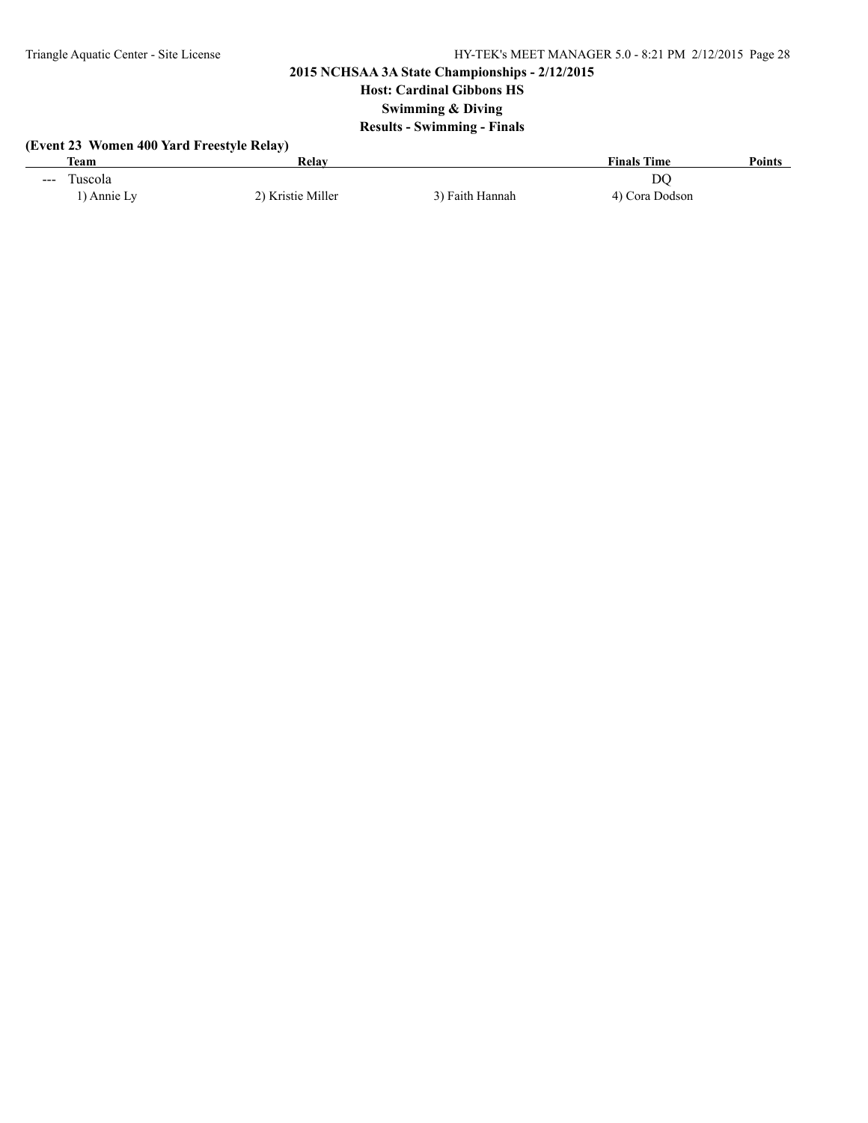# **Host: Cardinal Gibbons HS**

**Swimming & Diving**

# **Results - Swimming - Finals**

# **(Event 23 Women 400 Yard Freestyle Relay)**

| Team                                           | Relav             |                 | <b>Finals Time</b>   | <b>Points</b> |
|------------------------------------------------|-------------------|-----------------|----------------------|---------------|
| l'uscola<br>$\sim$ $\sim$ $\sim$<br>) Annie Ly | 2) Kristie Miller | 3) Faith Hannah | DO<br>4) Cora Dodson |               |
|                                                |                   |                 |                      |               |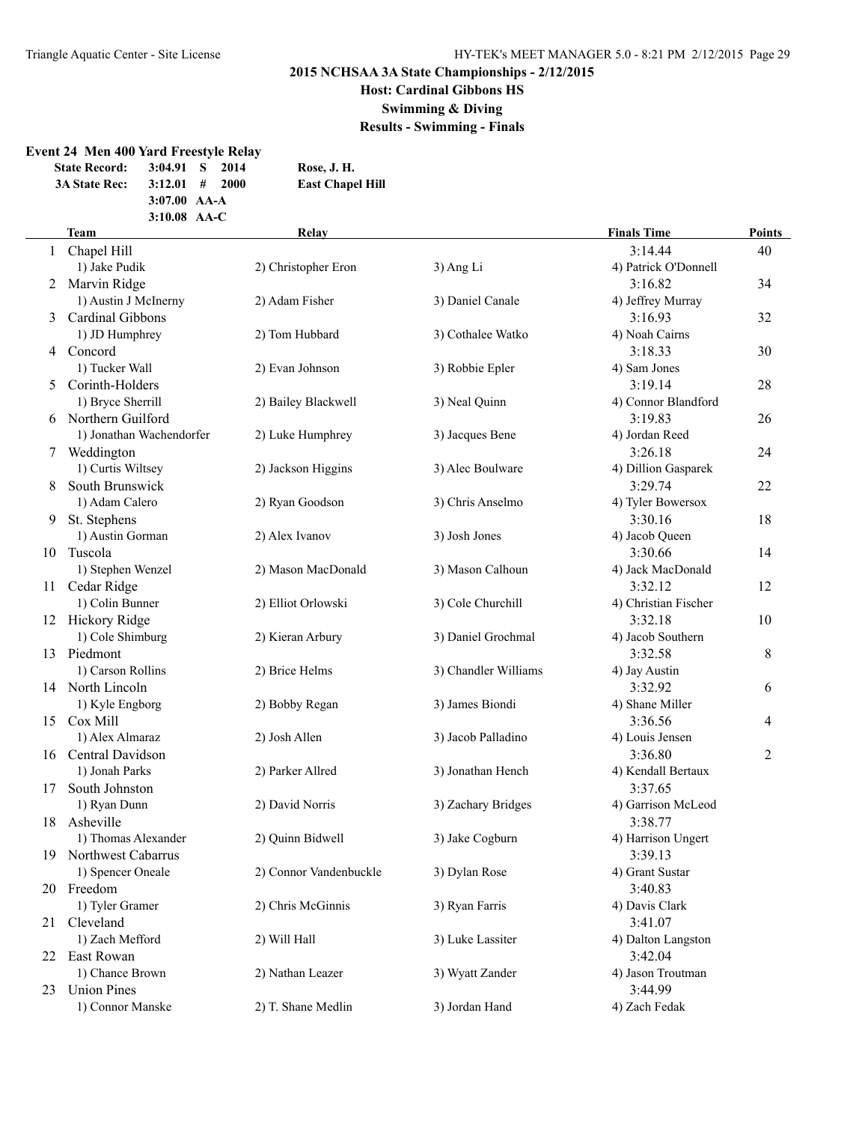# **Host: Cardinal Gibbons HS**

**Swimming & Diving**

**Results - Swimming - Finals**

#### **Event 24 Men 400 Yard Freestyle Relay**

**3:07.00 AA-A**

**State Record: 3:04.91 S 2014 Rose, J. H. 3A State Rec: 3:12.01 # 2000 East Chapel Hill**

|    | 3:10.08 AA-C              |                        |                      |                      |        |
|----|---------------------------|------------------------|----------------------|----------------------|--------|
|    | <b>Team</b>               | Relay                  |                      | <b>Finals Time</b>   | Points |
|    | 1 Chapel Hill             |                        |                      | 3:14.44              | 40     |
|    | 1) Jake Pudik             | 2) Christopher Eron    | 3) Ang Li            | 4) Patrick O'Donnell |        |
| 2  | Marvin Ridge              |                        |                      | 3:16.82              | 34     |
|    | 1) Austin J McInerny      | 2) Adam Fisher         | 3) Daniel Canale     | 4) Jeffrey Murray    |        |
| 3  | Cardinal Gibbons          |                        |                      | 3:16.93              | 32     |
|    | 1) JD Humphrey            | 2) Tom Hubbard         | 3) Cothalee Watko    | 4) Noah Cairns       |        |
|    | 4 Concord                 |                        |                      | 3:18.33              | 30     |
|    | 1) Tucker Wall            | 2) Evan Johnson        | 3) Robbie Epler      | 4) Sam Jones         |        |
| 5. | Corinth-Holders           |                        |                      | 3:19.14              | 28     |
|    | 1) Bryce Sherrill         | 2) Bailey Blackwell    | 3) Neal Quinn        | 4) Connor Blandford  |        |
|    | 6 Northern Guilford       |                        |                      | 3:19.83              | 26     |
|    | 1) Jonathan Wachendorfer  | 2) Luke Humphrey       | 3) Jacques Bene      | 4) Jordan Reed       |        |
| 7  | Weddington                |                        |                      | 3:26.18              | 24     |
|    | 1) Curtis Wiltsey         | 2) Jackson Higgins     | 3) Alec Boulware     | 4) Dillion Gasparek  |        |
| 8  | South Brunswick           |                        |                      | 3:29.74              | 22     |
|    | 1) Adam Calero            | 2) Ryan Goodson        | 3) Chris Anselmo     | 4) Tyler Bowersox    |        |
| 9  | St. Stephens              |                        |                      | 3:30.16              | 18     |
|    | 1) Austin Gorman          | 2) Alex Ivanov         | 3) Josh Jones        | 4) Jacob Queen       |        |
|    | 10 Tuscola                |                        |                      | 3:30.66              | 14     |
|    | 1) Stephen Wenzel         | 2) Mason MacDonald     | 3) Mason Calhoun     | 4) Jack MacDonald    |        |
|    | 11 Cedar Ridge            |                        |                      | 3:32.12              | 12     |
|    | 1) Colin Bunner           | 2) Elliot Orlowski     | 3) Cole Churchill    | 4) Christian Fischer |        |
|    | 12 Hickory Ridge          |                        |                      | 3:32.18              | 10     |
|    | 1) Cole Shimburg          | 2) Kieran Arbury       | 3) Daniel Grochmal   | 4) Jacob Southern    |        |
|    | 13 Piedmont               |                        |                      | 3:32.58              | 8      |
|    | 1) Carson Rollins         | 2) Brice Helms         | 3) Chandler Williams | 4) Jay Austin        |        |
|    | 14 North Lincoln          |                        |                      | 3:32.92              | 6      |
|    | 1) Kyle Engborg           | 2) Bobby Regan         | 3) James Biondi      | 4) Shane Miller      |        |
|    | 15 Cox Mill               |                        |                      | 3:36.56              | 4      |
|    | 1) Alex Almaraz           | 2) Josh Allen          | 3) Jacob Palladino   | 4) Louis Jensen      |        |
|    | 16 Central Davidson       |                        |                      | 3:36.80              | 2      |
|    | 1) Jonah Parks            | 2) Parker Allred       | 3) Jonathan Hench    | 4) Kendall Bertaux   |        |
| 17 | South Johnston            |                        |                      | 3:37.65              |        |
|    | 1) Ryan Dunn              | 2) David Norris        | 3) Zachary Bridges   | 4) Garrison McLeod   |        |
| 18 | Asheville                 |                        |                      | 3:38.77              |        |
|    | 1) Thomas Alexander       | 2) Ouinn Bidwell       | 3) Jake Cogburn      | 4) Harrison Ungert   |        |
| 19 | <b>Northwest Cabarrus</b> |                        |                      | 3:39.13              |        |
|    | 1) Spencer Oneale         | 2) Connor Vandenbuckle | 3) Dylan Rose        | 4) Grant Sustar      |        |
|    | 20 Freedom                |                        |                      | 3:40.83              |        |
|    | 1) Tyler Gramer           | 2) Chris McGinnis      | 3) Ryan Farris       | 4) Davis Clark       |        |
|    | 21 Cleveland              |                        |                      | 3:41.07              |        |
|    | 1) Zach Mefford           | 2) Will Hall           | 3) Luke Lassiter     | 4) Dalton Langston   |        |
| 22 | East Rowan                |                        |                      | 3:42.04              |        |
|    | 1) Chance Brown           | 2) Nathan Leazer       | 3) Wyatt Zander      | 4) Jason Troutman    |        |
| 23 | <b>Union Pines</b>        |                        |                      | 3:44.99              |        |
|    | 1) Connor Manske          | 2) T. Shane Medlin     | 3) Jordan Hand       | 4) Zach Fedak        |        |
|    |                           |                        |                      |                      |        |